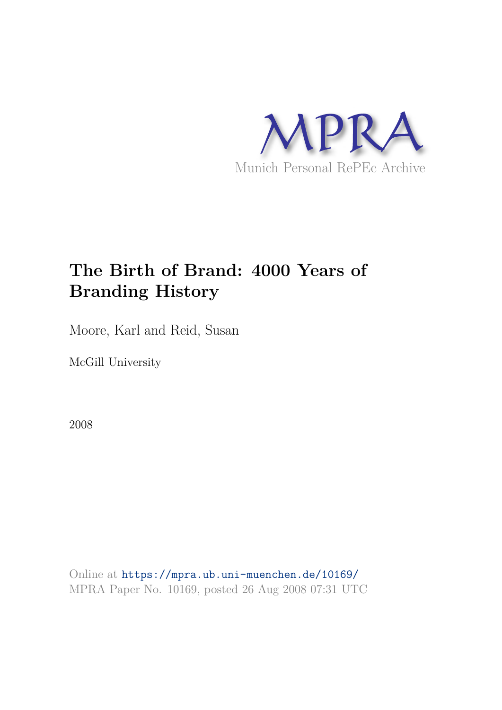

# **The Birth of Brand: 4000 Years of Branding History**

Moore, Karl and Reid, Susan

McGill University

2008

Online at https://mpra.ub.uni-muenchen.de/10169/ MPRA Paper No. 10169, posted 26 Aug 2008 07:31 UTC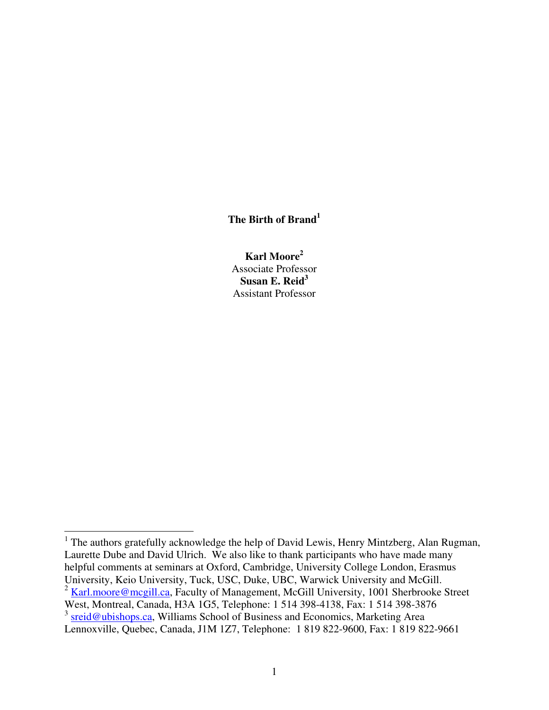## **The Birth of Brand<sup>1</sup>**

**Karl Moore<sup>2</sup>** Associate Professor **Susan E. Reid<sup>3</sup>** Assistant Professor

<sup>&</sup>lt;sup>1</sup> The authors gratefully acknowledge the help of David Lewis, Henry Mintzberg, Alan Rugman, Laurette Dube and David Ulrich. We also like to thank participants who have made many helpful comments at seminars at Oxford, Cambridge, University College London, Erasmus University, Keio University, Tuck, USC, Duke, UBC, Warwick University and McGill. <sup>2</sup> Karl.moore@mcgill.ca, Faculty of Management, McGill University, 1001 Sherbrooke Street West, Montreal, Canada, H3A 1G5, Telephone: 1 514 398-4138, Fax: 1 514 398-3876  $3 \text{ sreid} \textcircled{a}$ ubishops.ca, Williams School of Business and Economics, Marketing Area

Lennoxville, Quebec, Canada, J1M 1Z7, Telephone: 1 819 822-9600, Fax: 1 819 822-9661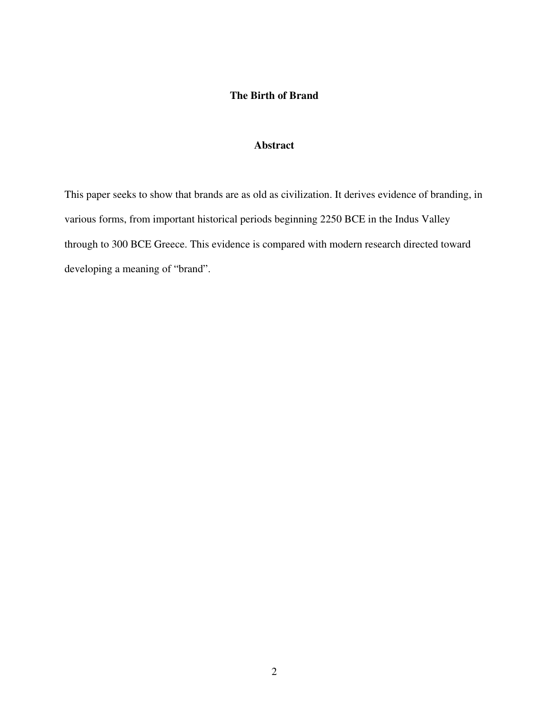## **The Birth of Brand**

#### **Abstract**

This paper seeks to show that brands are as old as civilization. It derives evidence of branding, in various forms, from important historical periods beginning 2250 BCE in the Indus Valley through to 300 BCE Greece. This evidence is compared with modern research directed toward developing a meaning of "brand".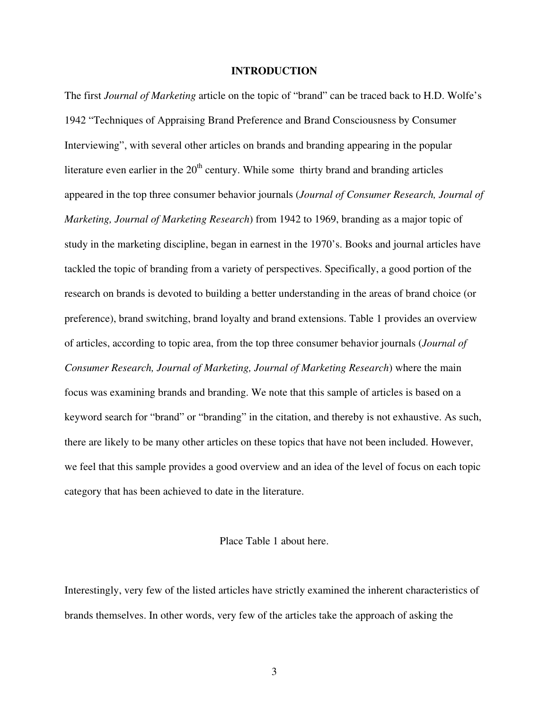#### **INTRODUCTION**

The first *Journal of Marketing* article on the topic of "brand" can be traced back to H.D. Wolfe's 1942 "Techniques of Appraising Brand Preference and Brand Consciousness by Consumer Interviewing", with several other articles on brands and branding appearing in the popular literature even earlier in the  $20<sup>th</sup>$  century. While some thirty brand and branding articles appeared in the top three consumer behavior journals (*Journal of Consumer Research, Journal of Marketing, Journal of Marketing Research*) from 1942 to 1969, branding as a major topic of study in the marketing discipline, began in earnest in the 1970's. Books and journal articles have tackled the topic of branding from a variety of perspectives. Specifically, a good portion of the research on brands is devoted to building a better understanding in the areas of brand choice (or preference), brand switching, brand loyalty and brand extensions. Table 1 provides an overview of articles, according to topic area, from the top three consumer behavior journals (*Journal of Consumer Research, Journal of Marketing, Journal of Marketing Research*) where the main focus was examining brands and branding. We note that this sample of articles is based on a keyword search for "brand" or "branding" in the citation, and thereby is not exhaustive. As such, there are likely to be many other articles on these topics that have not been included. However, we feel that this sample provides a good overview and an idea of the level of focus on each topic category that has been achieved to date in the literature.

#### Place Table 1 about here.

Interestingly, very few of the listed articles have strictly examined the inherent characteristics of brands themselves. In other words, very few of the articles take the approach of asking the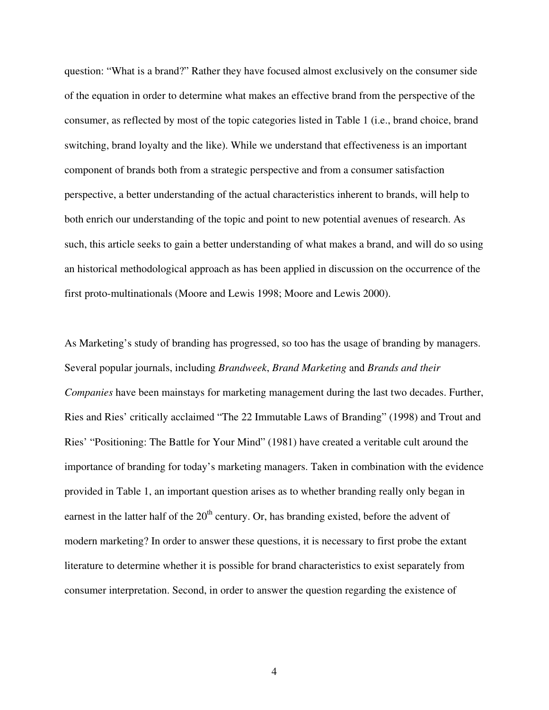question: "What is a brand?" Rather they have focused almost exclusively on the consumer side of the equation in order to determine what makes an effective brand from the perspective of the consumer, as reflected by most of the topic categories listed in Table 1 (i.e., brand choice, brand switching, brand loyalty and the like). While we understand that effectiveness is an important component of brands both from a strategic perspective and from a consumer satisfaction perspective, a better understanding of the actual characteristics inherent to brands, will help to both enrich our understanding of the topic and point to new potential avenues of research. As such, this article seeks to gain a better understanding of what makes a brand, and will do so using an historical methodological approach as has been applied in discussion on the occurrence of the first proto-multinationals (Moore and Lewis 1998; Moore and Lewis 2000).

As Marketing's study of branding has progressed, so too has the usage of branding by managers. Several popular journals, including *Brandweek*, *Brand Marketing* and *Brands and their Companies* have been mainstays for marketing management during the last two decades. Further, Ries and Ries' critically acclaimed "The 22 Immutable Laws of Branding" (1998) and Trout and Ries' "Positioning: The Battle for Your Mind" (1981) have created a veritable cult around the importance of branding for today's marketing managers. Taken in combination with the evidence provided in Table 1, an important question arises as to whether branding really only began in earnest in the latter half of the  $20<sup>th</sup>$  century. Or, has branding existed, before the advent of modern marketing? In order to answer these questions, it is necessary to first probe the extant literature to determine whether it is possible for brand characteristics to exist separately from consumer interpretation. Second, in order to answer the question regarding the existence of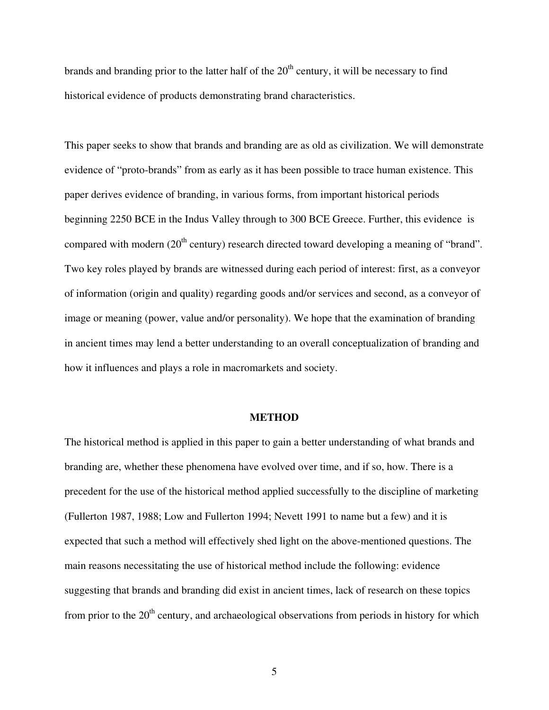brands and branding prior to the latter half of the  $20<sup>th</sup>$  century, it will be necessary to find historical evidence of products demonstrating brand characteristics.

This paper seeks to show that brands and branding are as old as civilization. We will demonstrate evidence of "proto-brands" from as early as it has been possible to trace human existence. This paper derives evidence of branding, in various forms, from important historical periods beginning 2250 BCE in the Indus Valley through to 300 BCE Greece. Further, this evidence is compared with modern  $(20<sup>th</sup>$  century) research directed toward developing a meaning of "brand". Two key roles played by brands are witnessed during each period of interest: first, as a conveyor of information (origin and quality) regarding goods and/or services and second, as a conveyor of image or meaning (power, value and/or personality). We hope that the examination of branding in ancient times may lend a better understanding to an overall conceptualization of branding and how it influences and plays a role in macromarkets and society.

#### **METHOD**

The historical method is applied in this paper to gain a better understanding of what brands and branding are, whether these phenomena have evolved over time, and if so, how. There is a precedent for the use of the historical method applied successfully to the discipline of marketing (Fullerton 1987, 1988; Low and Fullerton 1994; Nevett 1991 to name but a few) and it is expected that such a method will effectively shed light on the above-mentioned questions. The main reasons necessitating the use of historical method include the following: evidence suggesting that brands and branding did exist in ancient times, lack of research on these topics from prior to the  $20<sup>th</sup>$  century, and archaeological observations from periods in history for which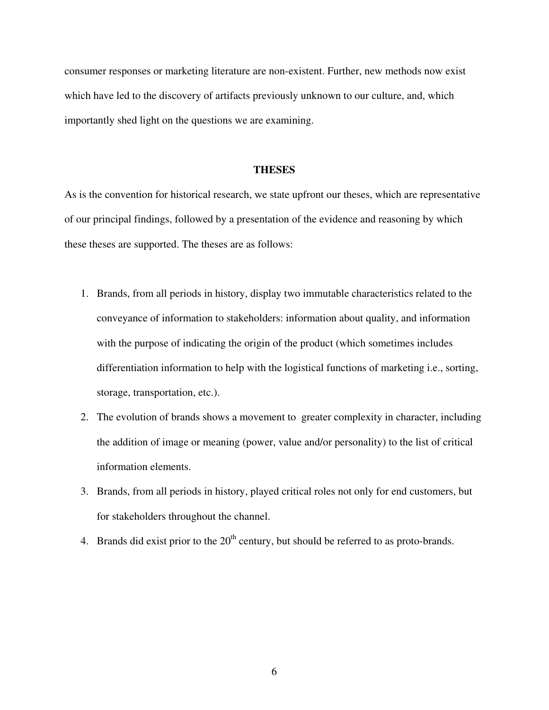consumer responses or marketing literature are non-existent. Further, new methods now exist which have led to the discovery of artifacts previously unknown to our culture, and, which importantly shed light on the questions we are examining.

#### **THESES**

As is the convention for historical research, we state upfront our theses, which are representative of our principal findings, followed by a presentation of the evidence and reasoning by which these theses are supported. The theses are as follows:

- 1. Brands, from all periods in history, display two immutable characteristics related to the conveyance of information to stakeholders: information about quality, and information with the purpose of indicating the origin of the product (which sometimes includes differentiation information to help with the logistical functions of marketing i.e., sorting, storage, transportation, etc.).
- 2. The evolution of brands shows a movement to greater complexity in character, including the addition of image or meaning (power, value and/or personality) to the list of critical information elements.
- 3. Brands, from all periods in history, played critical roles not only for end customers, but for stakeholders throughout the channel.
- 4. Brands did exist prior to the  $20<sup>th</sup>$  century, but should be referred to as proto-brands.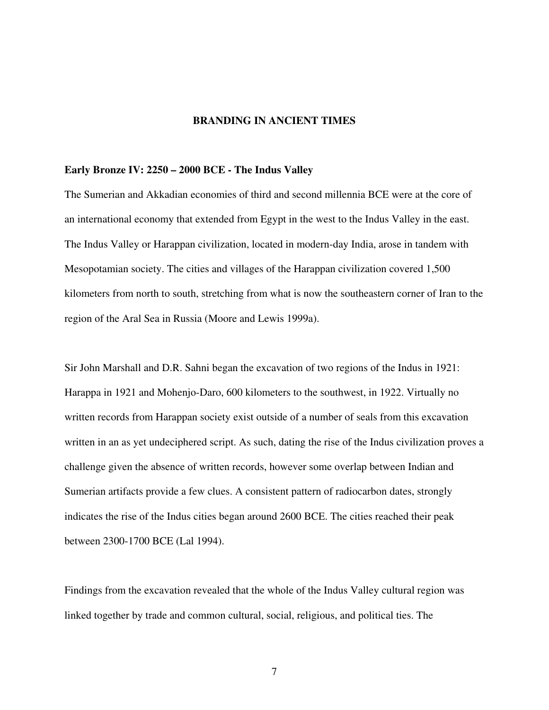#### **BRANDING IN ANCIENT TIMES**

#### **Early Bronze IV: 2250 – 2000 BCE - The Indus Valley**

The Sumerian and Akkadian economies of third and second millennia BCE were at the core of an international economy that extended from Egypt in the west to the Indus Valley in the east. The Indus Valley or Harappan civilization, located in modern-day India, arose in tandem with Mesopotamian society. The cities and villages of the Harappan civilization covered 1,500 kilometers from north to south, stretching from what is now the southeastern corner of Iran to the region of the Aral Sea in Russia (Moore and Lewis 1999a).

Sir John Marshall and D.R. Sahni began the excavation of two regions of the Indus in 1921: Harappa in 1921 and Mohenjo-Daro, 600 kilometers to the southwest, in 1922. Virtually no written records from Harappan society exist outside of a number of seals from this excavation written in an as yet undeciphered script. As such, dating the rise of the Indus civilization proves a challenge given the absence of written records, however some overlap between Indian and Sumerian artifacts provide a few clues. A consistent pattern of radiocarbon dates, strongly indicates the rise of the Indus cities began around 2600 BCE. The cities reached their peak between 2300-1700 BCE (Lal 1994).

Findings from the excavation revealed that the whole of the Indus Valley cultural region was linked together by trade and common cultural, social, religious, and political ties. The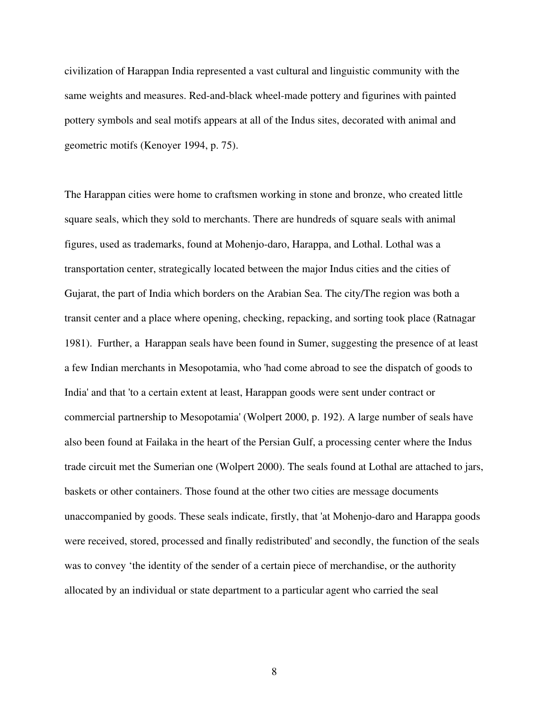civilization of Harappan India represented a vast cultural and linguistic community with the same weights and measures. Red-and-black wheel-made pottery and figurines with painted pottery symbols and seal motifs appears at all of the Indus sites, decorated with animal and geometric motifs (Kenoyer 1994, p. 75).

The Harappan cities were home to craftsmen working in stone and bronze, who created little square seals, which they sold to merchants. There are hundreds of square seals with animal figures, used as trademarks, found at Mohenjo-daro, Harappa, and Lothal. Lothal was a transportation center, strategically located between the major Indus cities and the cities of Gujarat, the part of India which borders on the Arabian Sea. The city/The region was both a transit center and a place where opening, checking, repacking, and sorting took place (Ratnagar 1981). Further, a Harappan seals have been found in Sumer, suggesting the presence of at least a few Indian merchants in Mesopotamia, who 'had come abroad to see the dispatch of goods to India' and that 'to a certain extent at least, Harappan goods were sent under contract or commercial partnership to Mesopotamia' (Wolpert 2000, p. 192). A large number of seals have also been found at Failaka in the heart of the Persian Gulf, a processing center where the Indus trade circuit met the Sumerian one (Wolpert 2000). The seals found at Lothal are attached to jars, baskets or other containers. Those found at the other two cities are message documents unaccompanied by goods. These seals indicate, firstly, that 'at Mohenjo-daro and Harappa goods were received, stored, processed and finally redistributed' and secondly, the function of the seals was to convey 'the identity of the sender of a certain piece of merchandise, or the authority allocated by an individual or state department to a particular agent who carried the seal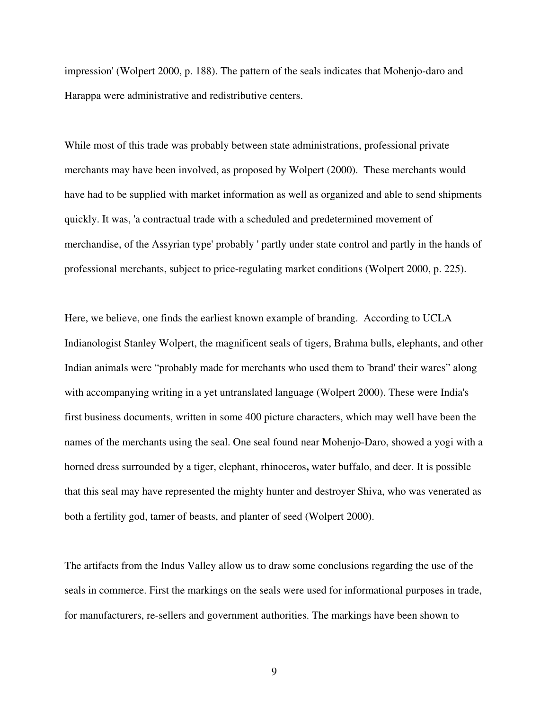impression' (Wolpert 2000, p. 188). The pattern of the seals indicates that Mohenjo-daro and Harappa were administrative and redistributive centers.

While most of this trade was probably between state administrations, professional private merchants may have been involved, as proposed by Wolpert (2000). These merchants would have had to be supplied with market information as well as organized and able to send shipments quickly. It was, 'a contractual trade with a scheduled and predetermined movement of merchandise, of the Assyrian type' probably ' partly under state control and partly in the hands of professional merchants, subject to price-regulating market conditions (Wolpert 2000, p. 225).

Here, we believe, one finds the earliest known example of branding. According to UCLA Indianologist Stanley Wolpert, the magnificent seals of tigers, Brahma bulls, elephants, and other Indian animals were "probably made for merchants who used them to 'brand' their wares" along with accompanying writing in a yet untranslated language (Wolpert 2000). These were India's first business documents, written in some 400 picture characters, which may well have been the names of the merchants using the seal. One seal found near Mohenjo-Daro, showed a yogi with a horned dress surrounded by a tiger, elephant, rhinoceros**,** water buffalo, and deer. It is possible that this seal may have represented the mighty hunter and destroyer Shiva, who was venerated as both a fertility god, tamer of beasts, and planter of seed (Wolpert 2000).

The artifacts from the Indus Valley allow us to draw some conclusions regarding the use of the seals in commerce. First the markings on the seals were used for informational purposes in trade, for manufacturers, re-sellers and government authorities. The markings have been shown to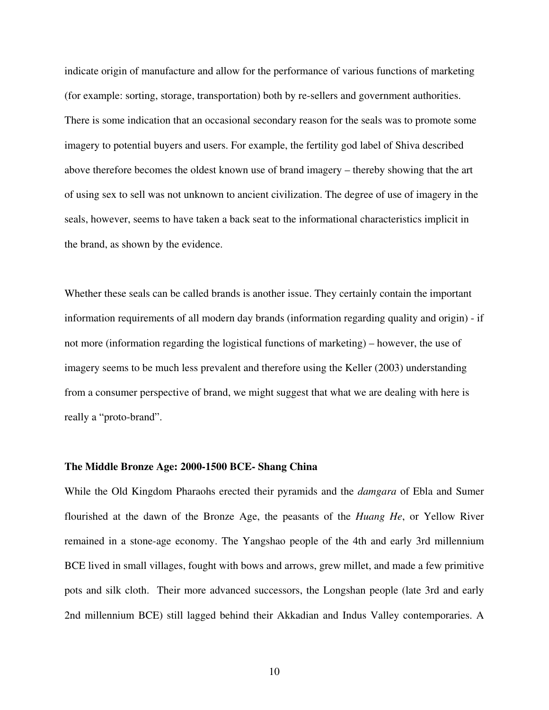indicate origin of manufacture and allow for the performance of various functions of marketing (for example: sorting, storage, transportation) both by re-sellers and government authorities. There is some indication that an occasional secondary reason for the seals was to promote some imagery to potential buyers and users. For example, the fertility god label of Shiva described above therefore becomes the oldest known use of brand imagery – thereby showing that the art of using sex to sell was not unknown to ancient civilization. The degree of use of imagery in the seals, however, seems to have taken a back seat to the informational characteristics implicit in the brand, as shown by the evidence.

Whether these seals can be called brands is another issue. They certainly contain the important information requirements of all modern day brands (information regarding quality and origin) - if not more (information regarding the logistical functions of marketing) – however, the use of imagery seems to be much less prevalent and therefore using the Keller (2003) understanding from a consumer perspective of brand, we might suggest that what we are dealing with here is really a "proto-brand".

#### **The Middle Bronze Age: 2000-1500 BCE- Shang China**

While the Old Kingdom Pharaohs erected their pyramids and the *damgara* of Ebla and Sumer flourished at the dawn of the Bronze Age, the peasants of the *Huang He*, or Yellow River remained in a stone-age economy. The Yangshao people of the 4th and early 3rd millennium BCE lived in small villages, fought with bows and arrows, grew millet, and made a few primitive pots and silk cloth. Their more advanced successors, the Longshan people (late 3rd and early 2nd millennium BCE) still lagged behind their Akkadian and Indus Valley contemporaries. A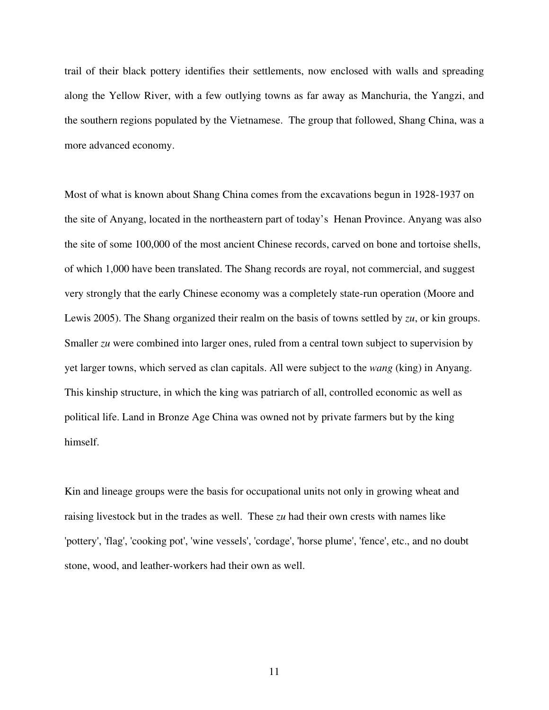trail of their black pottery identifies their settlements, now enclosed with walls and spreading along the Yellow River, with a few outlying towns as far away as Manchuria, the Yangzi, and the southern regions populated by the Vietnamese. The group that followed, Shang China, was a more advanced economy.

Most of what is known about Shang China comes from the excavations begun in 1928-1937 on the site of Anyang, located in the northeastern part of today's Henan Province. Anyang was also the site of some 100,000 of the most ancient Chinese records, carved on bone and tortoise shells, of which 1,000 have been translated. The Shang records are royal, not commercial, and suggest very strongly that the early Chinese economy was a completely state-run operation (Moore and Lewis 2005). The Shang organized their realm on the basis of towns settled by *zu*, or kin groups. Smaller *zu* were combined into larger ones, ruled from a central town subject to supervision by yet larger towns, which served as clan capitals. All were subject to the *wang* (king) in Anyang. This kinship structure, in which the king was patriarch of all, controlled economic as well as political life. Land in Bronze Age China was owned not by private farmers but by the king himself.

Kin and lineage groups were the basis for occupational units not only in growing wheat and raising livestock but in the trades as well. These *zu* had their own crests with names like 'pottery', 'flag', 'cooking pot', 'wine vessels', 'cordage', 'horse plume', 'fence', etc., and no doubt stone, wood, and leather-workers had their own as well.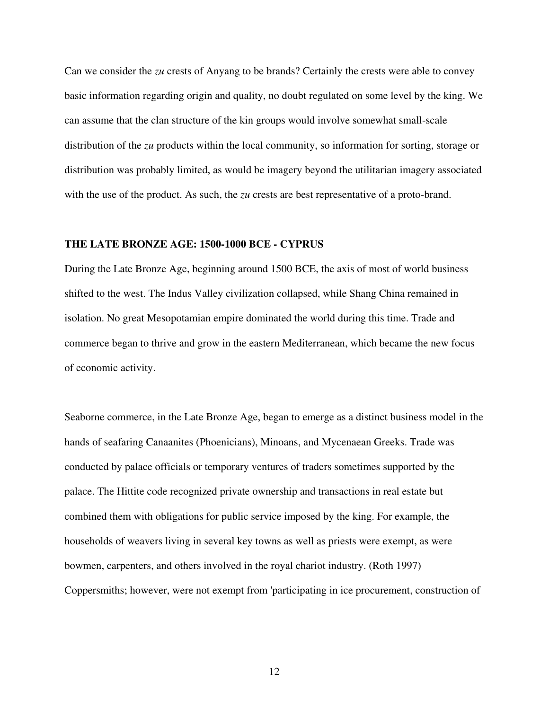Can we consider the *zu* crests of Anyang to be brands? Certainly the crests were able to convey basic information regarding origin and quality, no doubt regulated on some level by the king. We can assume that the clan structure of the kin groups would involve somewhat small-scale distribution of the *zu* products within the local community, so information for sorting, storage or distribution was probably limited, as would be imagery beyond the utilitarian imagery associated with the use of the product. As such, the *zu* crests are best representative of a proto-brand.

#### **THE LATE BRONZE AGE: 1500-1000 BCE - CYPRUS**

During the Late Bronze Age, beginning around 1500 BCE, the axis of most of world business shifted to the west. The Indus Valley civilization collapsed, while Shang China remained in isolation. No great Mesopotamian empire dominated the world during this time. Trade and commerce began to thrive and grow in the eastern Mediterranean, which became the new focus of economic activity.

Seaborne commerce, in the Late Bronze Age, began to emerge as a distinct business model in the hands of seafaring Canaanites (Phoenicians), Minoans, and Mycenaean Greeks. Trade was conducted by palace officials or temporary ventures of traders sometimes supported by the palace. The Hittite code recognized private ownership and transactions in real estate but combined them with obligations for public service imposed by the king. For example, the households of weavers living in several key towns as well as priests were exempt, as were bowmen, carpenters, and others involved in the royal chariot industry. (Roth 1997) Coppersmiths; however, were not exempt from 'participating in ice procurement, construction of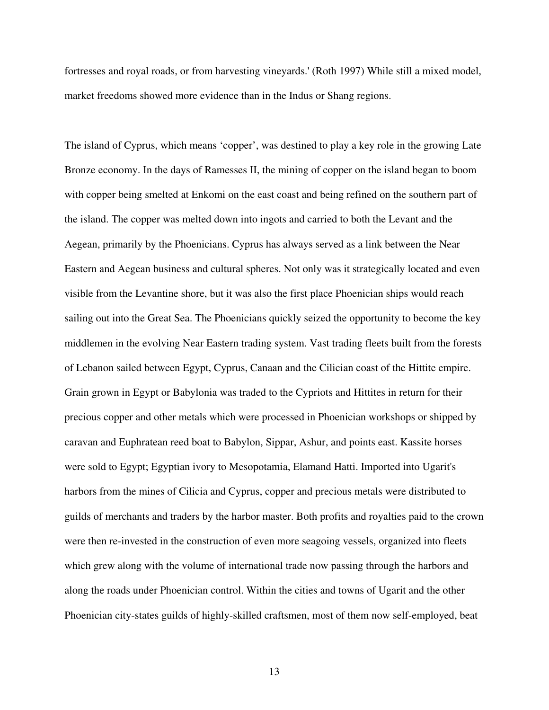fortresses and royal roads, or from harvesting vineyards.' (Roth 1997) While still a mixed model, market freedoms showed more evidence than in the Indus or Shang regions.

The island of Cyprus, which means 'copper', was destined to play a key role in the growing Late Bronze economy. In the days of Ramesses II, the mining of copper on the island began to boom with copper being smelted at Enkomi on the east coast and being refined on the southern part of the island. The copper was melted down into ingots and carried to both the Levant and the Aegean, primarily by the Phoenicians. Cyprus has always served as a link between the Near Eastern and Aegean business and cultural spheres. Not only was it strategically located and even visible from the Levantine shore, but it was also the first place Phoenician ships would reach sailing out into the Great Sea. The Phoenicians quickly seized the opportunity to become the key middlemen in the evolving Near Eastern trading system. Vast trading fleets built from the forests of Lebanon sailed between Egypt, Cyprus, Canaan and the Cilician coast of the Hittite empire. Grain grown in Egypt or Babylonia was traded to the Cypriots and Hittites in return for their precious copper and other metals which were processed in Phoenician workshops or shipped by caravan and Euphratean reed boat to Babylon, Sippar, Ashur, and points east. Kassite horses were sold to Egypt; Egyptian ivory to Mesopotamia, Elamand Hatti. Imported into Ugarit's harbors from the mines of Cilicia and Cyprus, copper and precious metals were distributed to guilds of merchants and traders by the harbor master. Both profits and royalties paid to the crown were then re-invested in the construction of even more seagoing vessels, organized into fleets which grew along with the volume of international trade now passing through the harbors and along the roads under Phoenician control. Within the cities and towns of Ugarit and the other Phoenician city-states guilds of highly-skilled craftsmen, most of them now self-employed, beat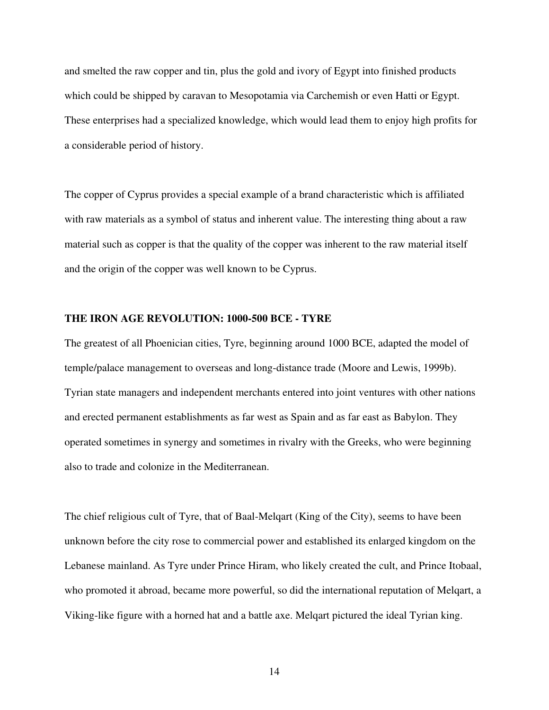and smelted the raw copper and tin, plus the gold and ivory of Egypt into finished products which could be shipped by caravan to Mesopotamia via Carchemish or even Hatti or Egypt. These enterprises had a specialized knowledge, which would lead them to enjoy high profits for a considerable period of history.

The copper of Cyprus provides a special example of a brand characteristic which is affiliated with raw materials as a symbol of status and inherent value. The interesting thing about a raw material such as copper is that the quality of the copper was inherent to the raw material itself and the origin of the copper was well known to be Cyprus.

#### **THE IRON AGE REVOLUTION: 1000-500 BCE - TYRE**

The greatest of all Phoenician cities, Tyre, beginning around 1000 BCE, adapted the model of temple/palace management to overseas and long-distance trade (Moore and Lewis, 1999b). Tyrian state managers and independent merchants entered into joint ventures with other nations and erected permanent establishments as far west as Spain and as far east as Babylon. They operated sometimes in synergy and sometimes in rivalry with the Greeks, who were beginning also to trade and colonize in the Mediterranean.

The chief religious cult of Tyre, that of Baal-Melqart (King of the City), seems to have been unknown before the city rose to commercial power and established its enlarged kingdom on the Lebanese mainland. As Tyre under Prince Hiram, who likely created the cult, and Prince Itobaal, who promoted it abroad, became more powerful, so did the international reputation of Melqart, a Viking-like figure with a horned hat and a battle axe. Melqart pictured the ideal Tyrian king.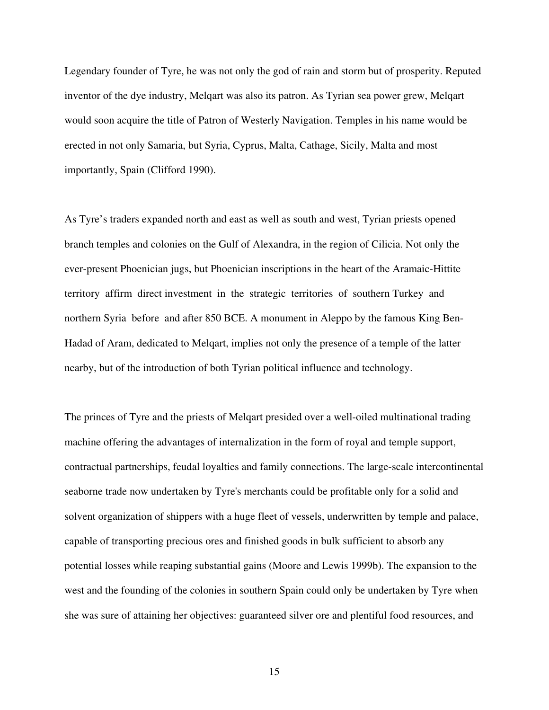Legendary founder of Tyre, he was not only the god of rain and storm but of prosperity. Reputed inventor of the dye industry, Melqart was also its patron. As Tyrian sea power grew, Melqart would soon acquire the title of Patron of Westerly Navigation. Temples in his name would be erected in not only Samaria, but Syria, Cyprus, Malta, Cathage, Sicily, Malta and most importantly, Spain (Clifford 1990).

As Tyre's traders expanded north and east as well as south and west, Tyrian priests opened branch temples and colonies on the Gulf of Alexandra, in the region of Cilicia. Not only the ever-present Phoenician jugs, but Phoenician inscriptions in the heart of the Aramaic-Hittite territory affirm direct investment in the strategic territories of southern Turkey and northern Syria before and after 850 BCE. A monument in Aleppo by the famous King Ben-Hadad of Aram, dedicated to Melqart, implies not only the presence of a temple of the latter nearby, but of the introduction of both Tyrian political influence and technology.

The princes of Tyre and the priests of Melqart presided over a well-oiled multinational trading machine offering the advantages of internalization in the form of royal and temple support, contractual partnerships, feudal loyalties and family connections. The large-scale intercontinental seaborne trade now undertaken by Tyre's merchants could be profitable only for a solid and solvent organization of shippers with a huge fleet of vessels, underwritten by temple and palace, capable of transporting precious ores and finished goods in bulk sufficient to absorb any potential losses while reaping substantial gains (Moore and Lewis 1999b). The expansion to the west and the founding of the colonies in southern Spain could only be undertaken by Tyre when she was sure of attaining her objectives: guaranteed silver ore and plentiful food resources, and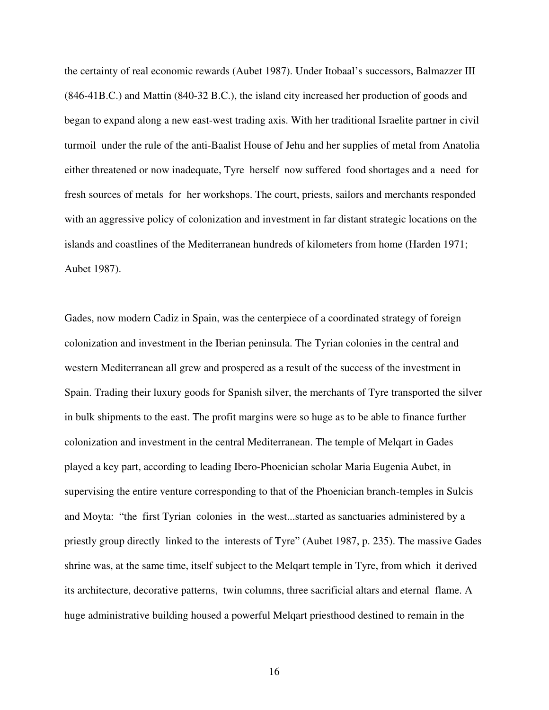the certainty of real economic rewards (Aubet 1987). Under Itobaal's successors, Balmazzer III (846-41B.C.) and Mattin (840-32 B.C.), the island city increased her production of goods and began to expand along a new east-west trading axis. With her traditional Israelite partner in civil turmoil under the rule of the anti-Baalist House of Jehu and her supplies of metal from Anatolia either threatened or now inadequate, Tyre herself now suffered food shortages and a need for fresh sources of metals for her workshops. The court, priests, sailors and merchants responded with an aggressive policy of colonization and investment in far distant strategic locations on the islands and coastlines of the Mediterranean hundreds of kilometers from home (Harden 1971; Aubet 1987).

Gades, now modern Cadiz in Spain, was the centerpiece of a coordinated strategy of foreign colonization and investment in the Iberian peninsula. The Tyrian colonies in the central and western Mediterranean all grew and prospered as a result of the success of the investment in Spain. Trading their luxury goods for Spanish silver, the merchants of Tyre transported the silver in bulk shipments to the east. The profit margins were so huge as to be able to finance further colonization and investment in the central Mediterranean. The temple of Melqart in Gades played a key part, according to leading Ibero-Phoenician scholar Maria Eugenia Aubet, in supervising the entire venture corresponding to that of the Phoenician branch-temples in Sulcis and Moyta: "the first Tyrian colonies in the west...started as sanctuaries administered by a priestly group directly linked to the interests of Tyre" (Aubet 1987, p. 235). The massive Gades shrine was, at the same time, itself subject to the Melqart temple in Tyre, from which it derived its architecture, decorative patterns, twin columns, three sacrificial altars and eternal flame. A huge administrative building housed a powerful Melqart priesthood destined to remain in the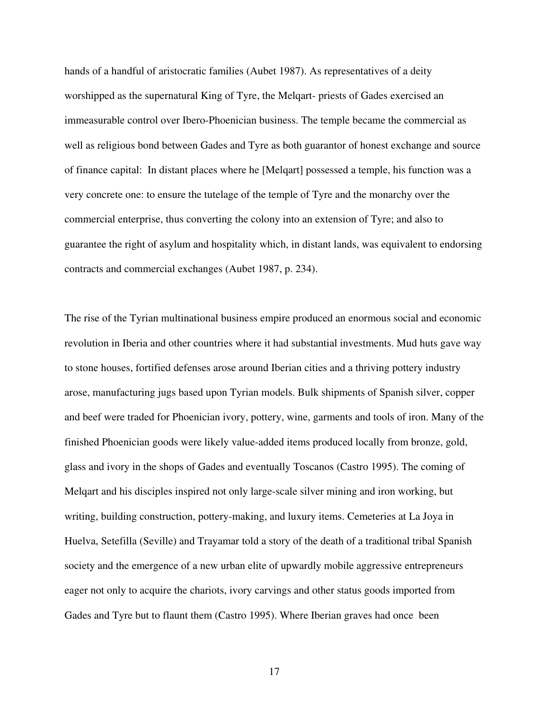hands of a handful of aristocratic families (Aubet 1987). As representatives of a deity worshipped as the supernatural King of Tyre, the Melqart- priests of Gades exercised an immeasurable control over Ibero-Phoenician business. The temple became the commercial as well as religious bond between Gades and Tyre as both guarantor of honest exchange and source of finance capital: In distant places where he [Melqart] possessed a temple, his function was a very concrete one: to ensure the tutelage of the temple of Tyre and the monarchy over the commercial enterprise, thus converting the colony into an extension of Tyre; and also to guarantee the right of asylum and hospitality which, in distant lands, was equivalent to endorsing contracts and commercial exchanges (Aubet 1987, p. 234).

The rise of the Tyrian multinational business empire produced an enormous social and economic revolution in Iberia and other countries where it had substantial investments. Mud huts gave way to stone houses, fortified defenses arose around Iberian cities and a thriving pottery industry arose, manufacturing jugs based upon Tyrian models. Bulk shipments of Spanish silver, copper and beef were traded for Phoenician ivory, pottery, wine, garments and tools of iron. Many of the finished Phoenician goods were likely value-added items produced locally from bronze, gold, glass and ivory in the shops of Gades and eventually Toscanos (Castro 1995). The coming of Melqart and his disciples inspired not only large-scale silver mining and iron working, but writing, building construction, pottery-making, and luxury items. Cemeteries at La Joya in Huelva, Setefilla (Seville) and Trayamar told a story of the death of a traditional tribal Spanish society and the emergence of a new urban elite of upwardly mobile aggressive entrepreneurs eager not only to acquire the chariots, ivory carvings and other status goods imported from Gades and Tyre but to flaunt them (Castro 1995). Where Iberian graves had once been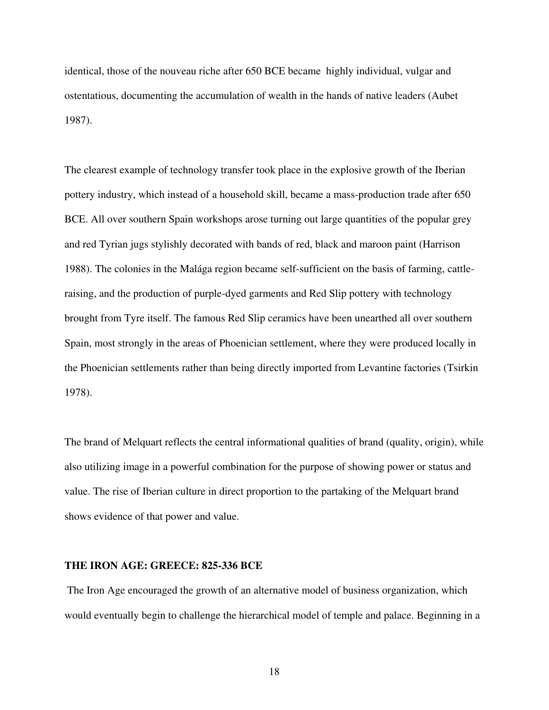identical, those of the nouveau riche after 650 BCE became highly individual, vulgar and ostentatious, documenting the accumulation of wealth in the hands of native leaders (Aubet 1987).

The clearest example of technology transfer took place in the explosive growth of the Iberian pottery industry, which instead of a household skill, became a mass-production trade after 650 BCE. All over southern Spain workshops arose turning out large quantities of the popular grey and red Tyrian jugs stylishly decorated with bands of red, black and maroon paint (Harrison 1988). The colonies in the Malága region became self-sufficient on the basis of farming, cattleraising, and the production of purple-dyed garments and Red Slip pottery with technology brought from Tyre itself. The famous Red Slip ceramics have been unearthed all over southern Spain, most strongly in the areas of Phoenician settlement, where they were produced locally in the Phoenician settlements rather than being directly imported from Levantine factories (Tsirkin 1978).

The brand of Melquart reflects the central informational qualities of brand (quality, origin), while also utilizing image in a powerful combination for the purpose of showing power or status and value. The rise of Iberian culture in direct proportion to the partaking of the Melquart brand shows evidence of that power and value.

#### **THE IRON AGE: GREECE: 825-336 BCE**

The Iron Age encouraged the growth of an alternative model of business organization, which would eventually begin to challenge the hierarchical model of temple and palace. Beginning in a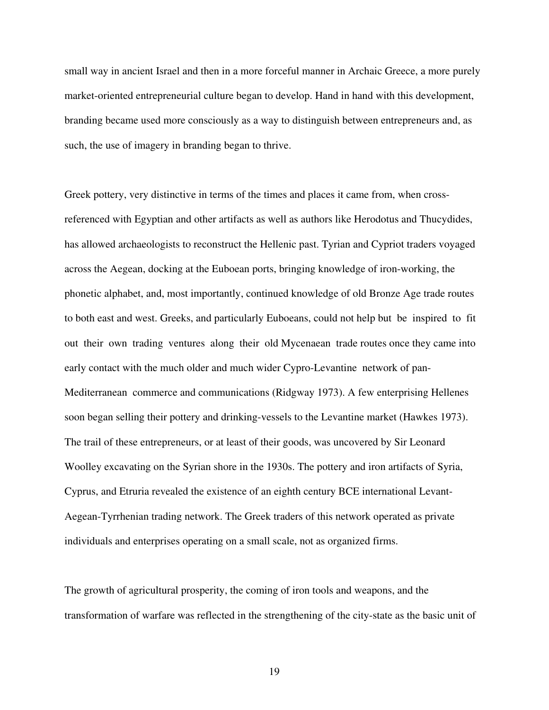small way in ancient Israel and then in a more forceful manner in Archaic Greece, a more purely market-oriented entrepreneurial culture began to develop. Hand in hand with this development, branding became used more consciously as a way to distinguish between entrepreneurs and, as such, the use of imagery in branding began to thrive.

Greek pottery, very distinctive in terms of the times and places it came from, when crossreferenced with Egyptian and other artifacts as well as authors like Herodotus and Thucydides, has allowed archaeologists to reconstruct the Hellenic past. Tyrian and Cypriot traders voyaged across the Aegean, docking at the Euboean ports, bringing knowledge of iron-working, the phonetic alphabet, and, most importantly, continued knowledge of old Bronze Age trade routes to both east and west. Greeks, and particularly Euboeans, could not help but be inspired to fit out their own trading ventures along their old Mycenaean trade routes once they came into early contact with the much older and much wider Cypro-Levantine network of pan-Mediterranean commerce and communications (Ridgway 1973). A few enterprising Hellenes soon began selling their pottery and drinking-vessels to the Levantine market (Hawkes 1973). The trail of these entrepreneurs, or at least of their goods, was uncovered by Sir Leonard Woolley excavating on the Syrian shore in the 1930s. The pottery and iron artifacts of Syria, Cyprus, and Etruria revealed the existence of an eighth century BCE international Levant-Aegean-Tyrrhenian trading network. The Greek traders of this network operated as private individuals and enterprises operating on a small scale, not as organized firms.

The growth of agricultural prosperity, the coming of iron tools and weapons, and the transformation of warfare was reflected in the strengthening of the city-state as the basic unit of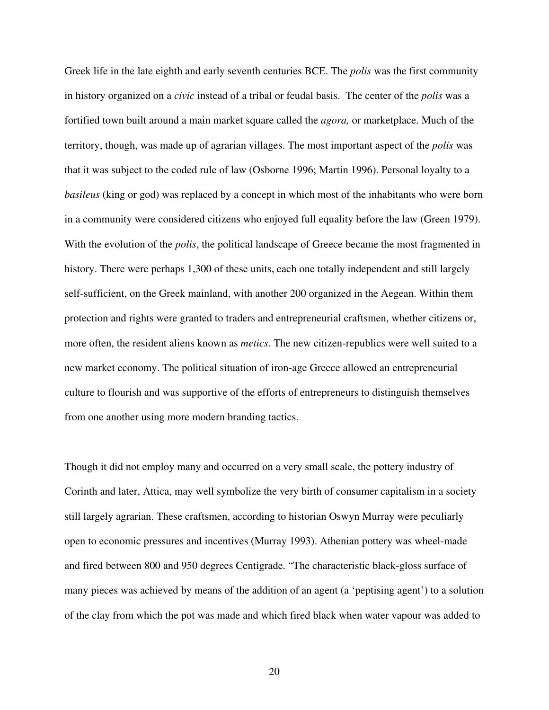Greek life in the late eighth and early seventh centuries BCE. The *polis* was the first community in history organized on a *civic* instead of a tribal or feudal basis. The center of the *polis* was a fortified town built around a main market square called the *agora,* or marketplace. Much of the territory, though, was made up of agrarian villages. The most important aspect of the *polis* was that it was subject to the coded rule of law (Osborne 1996; Martin 1996). Personal loyalty to a *basileus* (king or god) was replaced by a concept in which most of the inhabitants who were born in a community were considered citizens who enjoyed full equality before the law (Green 1979). With the evolution of the *polis*, the political landscape of Greece became the most fragmented in history. There were perhaps 1,300 of these units, each one totally independent and still largely self-sufficient, on the Greek mainland, with another 200 organized in the Aegean. Within them protection and rights were granted to traders and entrepreneurial craftsmen, whether citizens or, more often, the resident aliens known as *metics*. The new citizen-republics were well suited to a new market economy. The political situation of iron-age Greece allowed an entrepreneurial culture to flourish and was supportive of the efforts of entrepreneurs to distinguish themselves from one another using more modern branding tactics.

Though it did not employ many and occurred on a very small scale, the pottery industry of Corinth and later, Attica, may well symbolize the very birth of consumer capitalism in a society still largely agrarian. These craftsmen, according to historian Oswyn Murray were peculiarly open to economic pressures and incentives (Murray 1993). Athenian pottery was wheel-made and fired between 800 and 950 degrees Centigrade. "The characteristic black-gloss surface of many pieces was achieved by means of the addition of an agent (a 'peptising agent') to a solution of the clay from which the pot was made and which fired black when water vapour was added to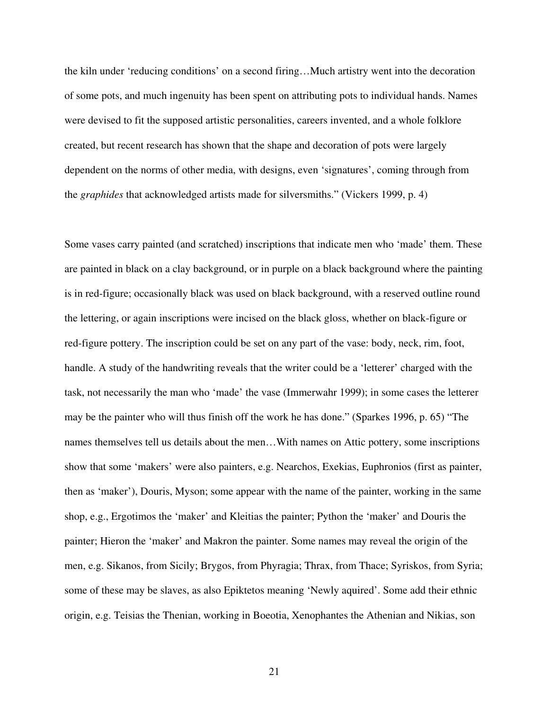the kiln under 'reducing conditions' on a second firing…Much artistry went into the decoration of some pots, and much ingenuity has been spent on attributing pots to individual hands. Names were devised to fit the supposed artistic personalities, careers invented, and a whole folklore created, but recent research has shown that the shape and decoration of pots were largely dependent on the norms of other media, with designs, even 'signatures', coming through from the *graphides* that acknowledged artists made for silversmiths." (Vickers 1999, p. 4)

Some vases carry painted (and scratched) inscriptions that indicate men who 'made' them. These are painted in black on a clay background, or in purple on a black background where the painting is in red-figure; occasionally black was used on black background, with a reserved outline round the lettering, or again inscriptions were incised on the black gloss, whether on black-figure or red-figure pottery. The inscription could be set on any part of the vase: body, neck, rim, foot, handle. A study of the handwriting reveals that the writer could be a 'letterer' charged with the task, not necessarily the man who 'made' the vase (Immerwahr 1999); in some cases the letterer may be the painter who will thus finish off the work he has done." (Sparkes 1996, p. 65) "The names themselves tell us details about the men…With names on Attic pottery, some inscriptions show that some 'makers' were also painters, e.g. Nearchos, Exekias, Euphronios (first as painter, then as 'maker'), Douris, Myson; some appear with the name of the painter, working in the same shop, e.g., Ergotimos the 'maker' and Kleitias the painter; Python the 'maker' and Douris the painter; Hieron the 'maker' and Makron the painter. Some names may reveal the origin of the men, e.g. Sikanos, from Sicily; Brygos, from Phyragia; Thrax, from Thace; Syriskos, from Syria; some of these may be slaves, as also Epiktetos meaning 'Newly aquired'. Some add their ethnic origin, e.g. Teisias the Thenian, working in Boeotia, Xenophantes the Athenian and Nikias, son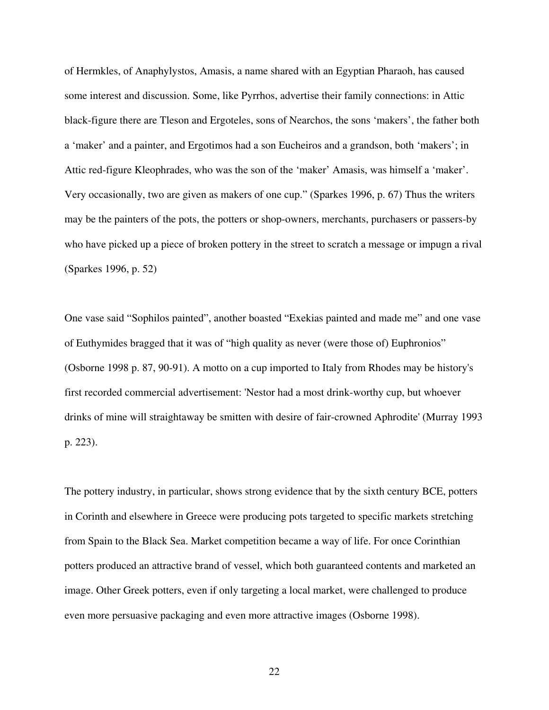of Hermkles, of Anaphylystos, Amasis, a name shared with an Egyptian Pharaoh, has caused some interest and discussion. Some, like Pyrrhos, advertise their family connections: in Attic black-figure there are Tleson and Ergoteles, sons of Nearchos, the sons 'makers', the father both a 'maker' and a painter, and Ergotimos had a son Eucheiros and a grandson, both 'makers'; in Attic red-figure Kleophrades, who was the son of the 'maker' Amasis, was himself a 'maker'. Very occasionally, two are given as makers of one cup." (Sparkes 1996, p. 67) Thus the writers may be the painters of the pots, the potters or shop-owners, merchants, purchasers or passers-by who have picked up a piece of broken pottery in the street to scratch a message or impugn a rival (Sparkes 1996, p. 52)

One vase said "Sophilos painted", another boasted "Exekias painted and made me" and one vase of Euthymides bragged that it was of "high quality as never (were those of) Euphronios" (Osborne 1998 p. 87, 90-91). A motto on a cup imported to Italy from Rhodes may be history's first recorded commercial advertisement: 'Nestor had a most drink-worthy cup, but whoever drinks of mine will straightaway be smitten with desire of fair-crowned Aphrodite' (Murray 1993 p. 223).

The pottery industry, in particular, shows strong evidence that by the sixth century BCE, potters in Corinth and elsewhere in Greece were producing pots targeted to specific markets stretching from Spain to the Black Sea. Market competition became a way of life. For once Corinthian potters produced an attractive brand of vessel, which both guaranteed contents and marketed an image. Other Greek potters, even if only targeting a local market, were challenged to produce even more persuasive packaging and even more attractive images (Osborne 1998).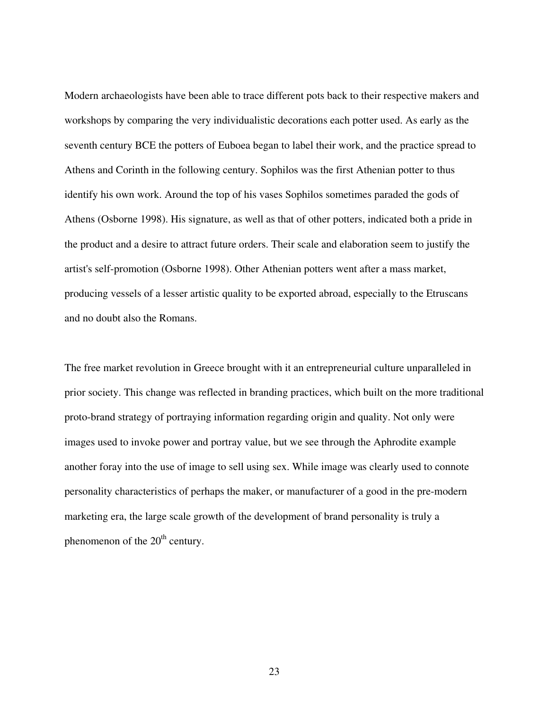Modern archaeologists have been able to trace different pots back to their respective makers and workshops by comparing the very individualistic decorations each potter used. As early as the seventh century BCE the potters of Euboea began to label their work, and the practice spread to Athens and Corinth in the following century. Sophilos was the first Athenian potter to thus identify his own work. Around the top of his vases Sophilos sometimes paraded the gods of Athens (Osborne 1998). His signature, as well as that of other potters, indicated both a pride in the product and a desire to attract future orders. Their scale and elaboration seem to justify the artist's self-promotion (Osborne 1998). Other Athenian potters went after a mass market, producing vessels of a lesser artistic quality to be exported abroad, especially to the Etruscans and no doubt also the Romans.

The free market revolution in Greece brought with it an entrepreneurial culture unparalleled in prior society. This change was reflected in branding practices, which built on the more traditional proto-brand strategy of portraying information regarding origin and quality. Not only were images used to invoke power and portray value, but we see through the Aphrodite example another foray into the use of image to sell using sex. While image was clearly used to connote personality characteristics of perhaps the maker, or manufacturer of a good in the pre-modern marketing era, the large scale growth of the development of brand personality is truly a phenomenon of the  $20<sup>th</sup>$  century.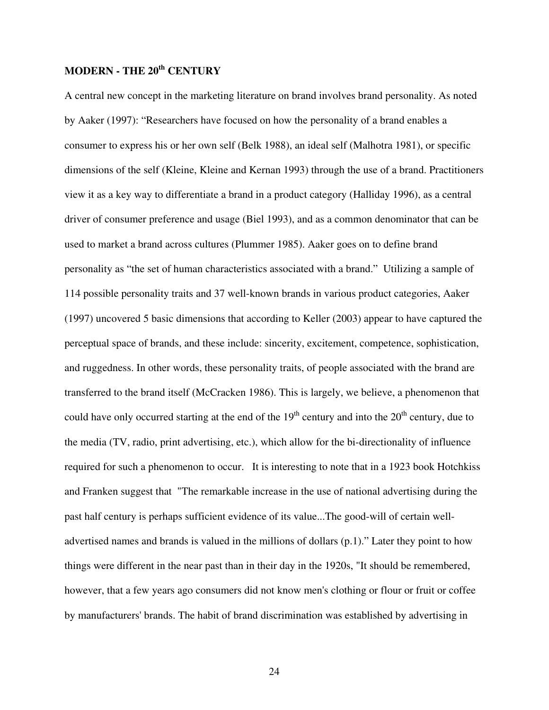## **MODERN - THE 20th CENTURY**

A central new concept in the marketing literature on brand involves brand personality. As noted by Aaker (1997): "Researchers have focused on how the personality of a brand enables a consumer to express his or her own self (Belk 1988), an ideal self (Malhotra 1981), or specific dimensions of the self (Kleine, Kleine and Kernan 1993) through the use of a brand. Practitioners view it as a key way to differentiate a brand in a product category (Halliday 1996), as a central driver of consumer preference and usage (Biel 1993), and as a common denominator that can be used to market a brand across cultures (Plummer 1985). Aaker goes on to define brand personality as "the set of human characteristics associated with a brand." Utilizing a sample of 114 possible personality traits and 37 well-known brands in various product categories, Aaker (1997) uncovered 5 basic dimensions that according to Keller (2003) appear to have captured the perceptual space of brands, and these include: sincerity, excitement, competence, sophistication, and ruggedness. In other words, these personality traits, of people associated with the brand are transferred to the brand itself (McCracken 1986). This is largely, we believe, a phenomenon that could have only occurred starting at the end of the  $19<sup>th</sup>$  century and into the  $20<sup>th</sup>$  century, due to the media (TV, radio, print advertising, etc.), which allow for the bi-directionality of influence required for such a phenomenon to occur. It is interesting to note that in a 1923 book Hotchkiss and Franken suggest that "The remarkable increase in the use of national advertising during the past half century is perhaps sufficient evidence of its value...The good-will of certain welladvertised names and brands is valued in the millions of dollars (p.1)." Later they point to how things were different in the near past than in their day in the 1920s, "It should be remembered, however, that a few years ago consumers did not know men's clothing or flour or fruit or coffee by manufacturers' brands. The habit of brand discrimination was established by advertising in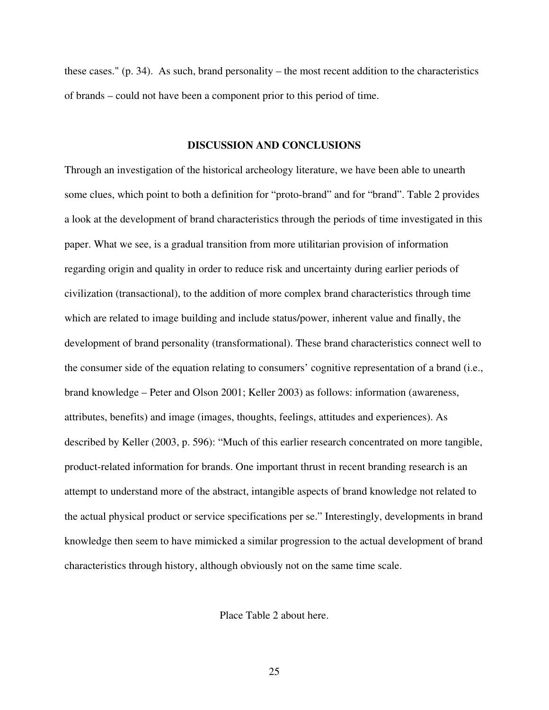these cases." (p. 34). As such, brand personality – the most recent addition to the characteristics of brands – could not have been a component prior to this period of time.

#### **DISCUSSION AND CONCLUSIONS**

Through an investigation of the historical archeology literature, we have been able to unearth some clues, which point to both a definition for "proto-brand" and for "brand". Table 2 provides a look at the development of brand characteristics through the periods of time investigated in this paper. What we see, is a gradual transition from more utilitarian provision of information regarding origin and quality in order to reduce risk and uncertainty during earlier periods of civilization (transactional), to the addition of more complex brand characteristics through time which are related to image building and include status/power, inherent value and finally, the development of brand personality (transformational). These brand characteristics connect well to the consumer side of the equation relating to consumers' cognitive representation of a brand (i.e., brand knowledge – Peter and Olson 2001; Keller 2003) as follows: information (awareness, attributes, benefits) and image (images, thoughts, feelings, attitudes and experiences). As described by Keller (2003, p. 596): "Much of this earlier research concentrated on more tangible, product-related information for brands. One important thrust in recent branding research is an attempt to understand more of the abstract, intangible aspects of brand knowledge not related to the actual physical product or service specifications per se." Interestingly, developments in brand knowledge then seem to have mimicked a similar progression to the actual development of brand characteristics through history, although obviously not on the same time scale.

Place Table 2 about here.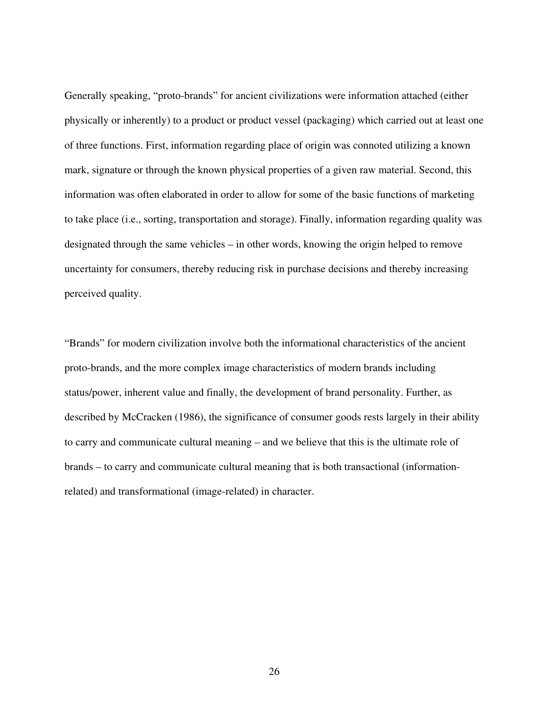Generally speaking, "proto-brands" for ancient civilizations were information attached (either physically or inherently) to a product or product vessel (packaging) which carried out at least one of three functions. First, information regarding place of origin was connoted utilizing a known mark, signature or through the known physical properties of a given raw material. Second, this information was often elaborated in order to allow for some of the basic functions of marketing to take place (i.e., sorting, transportation and storage). Finally, information regarding quality was designated through the same vehicles – in other words, knowing the origin helped to remove uncertainty for consumers, thereby reducing risk in purchase decisions and thereby increasing perceived quality.

"Brands" for modern civilization involve both the informational characteristics of the ancient proto-brands, and the more complex image characteristics of modern brands including status/power, inherent value and finally, the development of brand personality. Further, as described by McCracken (1986), the significance of consumer goods rests largely in their ability to carry and communicate cultural meaning – and we believe that this is the ultimate role of brands – to carry and communicate cultural meaning that is both transactional (informationrelated) and transformational (image-related) in character.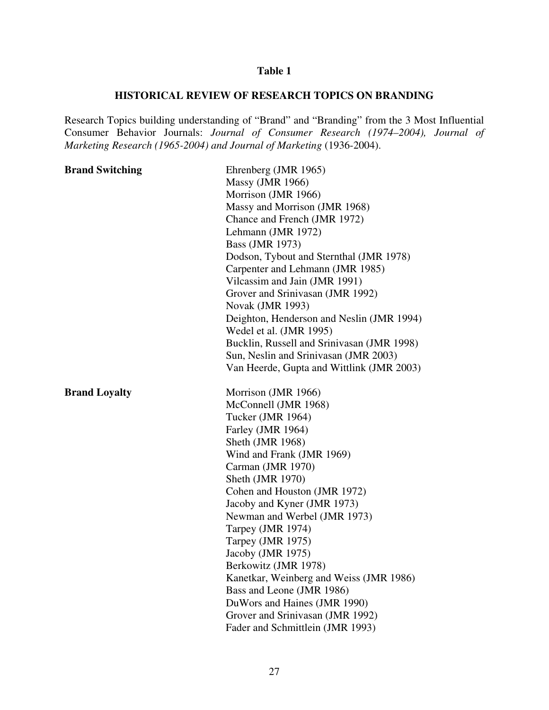## **Table 1**

## **HISTORICAL REVIEW OF RESEARCH TOPICS ON BRANDING**

Research Topics building understanding of "Brand" and "Branding" from the 3 Most Influential Consumer Behavior Journals: *Journal of Consumer Research (1974–2004), Journal of Marketing Research (1965-2004) and Journal of Marketing* (1936-2004).

| <b>Brand Switching</b> | Ehrenberg (JMR 1965)                                                                                         |  |  |  |  |
|------------------------|--------------------------------------------------------------------------------------------------------------|--|--|--|--|
|                        | <b>Massy (JMR 1966)</b>                                                                                      |  |  |  |  |
|                        | Morrison (JMR 1966)                                                                                          |  |  |  |  |
|                        | Massy and Morrison (JMR 1968)                                                                                |  |  |  |  |
|                        | Chance and French (JMR 1972)                                                                                 |  |  |  |  |
|                        | Lehmann (JMR 1972)                                                                                           |  |  |  |  |
|                        | <b>Bass (JMR 1973)</b>                                                                                       |  |  |  |  |
|                        | Dodson, Tybout and Sternthal (JMR 1978)<br>Carpenter and Lehmann (JMR 1985)<br>Vilcassim and Jain (JMR 1991) |  |  |  |  |
|                        |                                                                                                              |  |  |  |  |
|                        |                                                                                                              |  |  |  |  |
|                        | Grover and Srinivasan (JMR 1992)                                                                             |  |  |  |  |
|                        | <b>Novak (JMR 1993)</b>                                                                                      |  |  |  |  |
|                        | Deighton, Henderson and Neslin (JMR 1994)                                                                    |  |  |  |  |
|                        | Wedel et al. (JMR 1995)                                                                                      |  |  |  |  |
|                        | Bucklin, Russell and Srinivasan (JMR 1998)                                                                   |  |  |  |  |
|                        | Sun, Neslin and Srinivasan (JMR 2003)                                                                        |  |  |  |  |
|                        | Van Heerde, Gupta and Wittlink (JMR 2003)                                                                    |  |  |  |  |
| <b>Brand Loyalty</b>   | Morrison (JMR 1966)                                                                                          |  |  |  |  |
|                        | McConnell (JMR 1968)                                                                                         |  |  |  |  |
|                        | Tucker (JMR 1964)                                                                                            |  |  |  |  |
|                        | Farley (JMR 1964)<br>Sheth (JMR 1968)                                                                        |  |  |  |  |
|                        |                                                                                                              |  |  |  |  |
|                        | Wind and Frank (JMR 1969)                                                                                    |  |  |  |  |
|                        | Carman (JMR 1970)                                                                                            |  |  |  |  |
|                        | Sheth (JMR 1970)                                                                                             |  |  |  |  |
|                        | Cohen and Houston (JMR 1972)                                                                                 |  |  |  |  |
|                        | Jacoby and Kyner (JMR 1973)                                                                                  |  |  |  |  |
|                        | Newman and Werbel (JMR 1973)                                                                                 |  |  |  |  |
|                        | Tarpey (JMR 1974)                                                                                            |  |  |  |  |
|                        | Tarpey (JMR 1975)                                                                                            |  |  |  |  |
|                        | Jacoby (JMR 1975)                                                                                            |  |  |  |  |
|                        | Berkowitz (JMR 1978)                                                                                         |  |  |  |  |
|                        | Kanetkar, Weinberg and Weiss (JMR 1986)                                                                      |  |  |  |  |
|                        | Bass and Leone (JMR 1986)                                                                                    |  |  |  |  |
|                        | DuWors and Haines (JMR 1990)                                                                                 |  |  |  |  |
|                        | Grover and Srinivasan (JMR 1992)                                                                             |  |  |  |  |
|                        | Fader and Schmittlein (JMR 1993)                                                                             |  |  |  |  |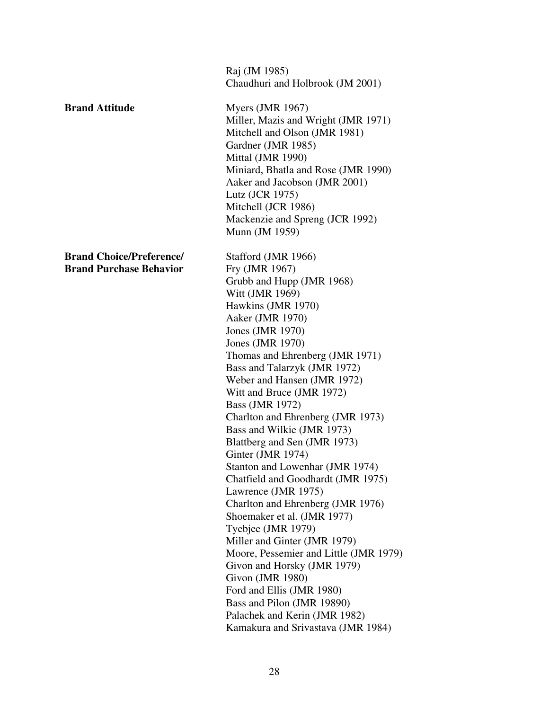|                                                                   | Raj (JM 1985)<br>Chaudhuri and Holbrook (JM 2001)                                                                                                                                                                                                                                                                                                                                                                                                                                                                                                                                                                                                                                                                                                                                                                                                                                                                               |
|-------------------------------------------------------------------|---------------------------------------------------------------------------------------------------------------------------------------------------------------------------------------------------------------------------------------------------------------------------------------------------------------------------------------------------------------------------------------------------------------------------------------------------------------------------------------------------------------------------------------------------------------------------------------------------------------------------------------------------------------------------------------------------------------------------------------------------------------------------------------------------------------------------------------------------------------------------------------------------------------------------------|
| <b>Brand Attitude</b>                                             | <b>Myers (JMR 1967)</b><br>Miller, Mazis and Wright (JMR 1971)<br>Mitchell and Olson (JMR 1981)<br>Gardner (JMR 1985)<br>Mittal (JMR 1990)<br>Miniard, Bhatla and Rose (JMR 1990)<br>Aaker and Jacobson (JMR 2001)<br>Lutz (JCR 1975)<br>Mitchell (JCR 1986)<br>Mackenzie and Spreng (JCR 1992)<br>Munn (JM 1959)                                                                                                                                                                                                                                                                                                                                                                                                                                                                                                                                                                                                               |
| <b>Brand Choice/Preference/</b><br><b>Brand Purchase Behavior</b> | Stafford (JMR 1966)<br>Fry (JMR 1967)<br>Grubb and Hupp (JMR 1968)<br>Witt (JMR 1969)<br>Hawkins (JMR 1970)<br>Aaker (JMR 1970)<br><b>Jones (JMR 1970)</b><br><b>Jones (JMR 1970)</b><br>Thomas and Ehrenberg (JMR 1971)<br>Bass and Talarzyk (JMR 1972)<br>Weber and Hansen (JMR 1972)<br>Witt and Bruce (JMR 1972)<br><b>Bass (JMR 1972)</b><br>Charlton and Ehrenberg (JMR 1973)<br>Bass and Wilkie (JMR 1973)<br>Blattberg and Sen (JMR 1973)<br>Ginter (JMR 1974)<br>Stanton and Lowenhar (JMR 1974)<br>Chatfield and Goodhardt (JMR 1975)<br>Lawrence (JMR 1975)<br>Charlton and Ehrenberg (JMR 1976)<br>Shoemaker et al. (JMR 1977)<br>Tyebjee (JMR 1979)<br>Miller and Ginter (JMR 1979)<br>Moore, Pessemier and Little (JMR 1979)<br>Givon and Horsky (JMR 1979)<br>Givon (JMR 1980)<br>Ford and Ellis (JMR 1980)<br>Bass and Pilon (JMR 19890)<br>Palachek and Kerin (JMR 1982)<br>Kamakura and Srivastava (JMR 1984) |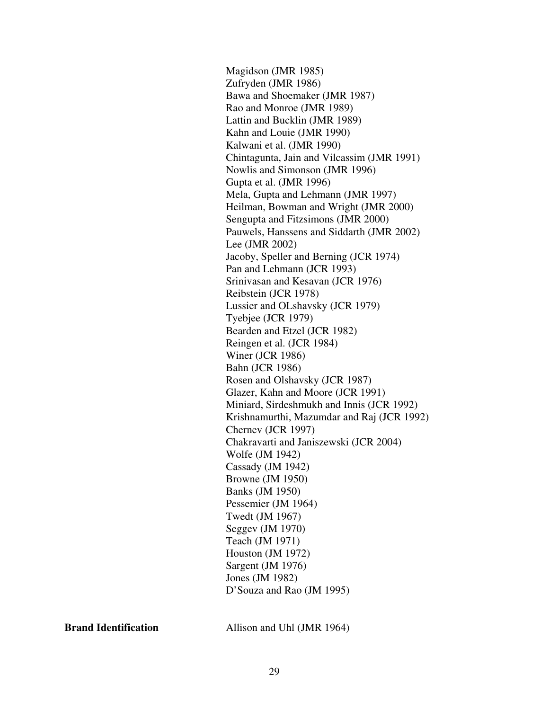Magidson (JMR 1985) Zufryden (JMR 1986) Bawa and Shoemaker (JMR 1987) Rao and Monroe (JMR 1989) Lattin and Bucklin (JMR 1989) Kahn and Louie (JMR 1990) Kalwani et al. (JMR 1990) Chintagunta, Jain and Vilcassim (JMR 1991) Nowlis and Simonson (JMR 1996) Gupta et al. (JMR 1996) Mela, Gupta and Lehmann (JMR 1997) Heilman, Bowman and Wright (JMR 2000) Sengupta and Fitzsimons (JMR 2000) Pauwels, Hanssens and Siddarth (JMR 2002) Lee (JMR 2002) Jacoby, Speller and Berning (JCR 1974) Pan and Lehmann (JCR 1993) Srinivasan and Kesavan (JCR 1976) Reibstein (JCR 1978) Lussier and OLshavsky (JCR 1979) Tyebjee (JCR 1979) Bearden and Etzel (JCR 1982) Reingen et al. (JCR 1984) Winer (JCR 1986) Bahn (JCR 1986) Rosen and Olshavsky (JCR 1987) Glazer, Kahn and Moore (JCR 1991) Miniard, Sirdeshmukh and Innis (JCR 1992) Krishnamurthi, Mazumdar and Raj (JCR 1992) Chernev (JCR 1997) Chakravarti and Janiszewski (JCR 2004) Wolfe (JM 1942) Cassady (JM 1942) Browne (JM 1950) Banks (JM 1950) Pessemier (JM 1964) Twedt (JM 1967) Seggev (JM 1970) Teach (JM 1971) Houston (JM 1972) Sargent (JM 1976) Jones (JM 1982) D'Souza and Rao (JM 1995)

**Brand Identification** Allison and Uhl (JMR 1964)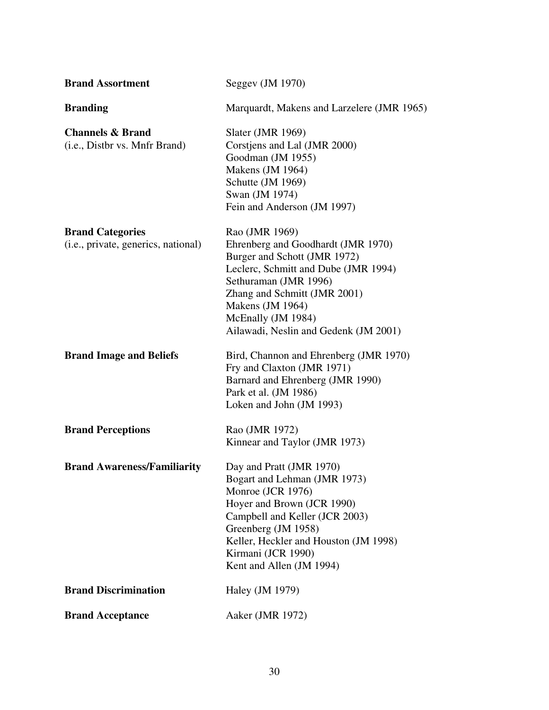| <b>Brand Assortment</b>                                        | Seggev (JM 1970)                                                                                                                                                                                                                                                                |  |  |
|----------------------------------------------------------------|---------------------------------------------------------------------------------------------------------------------------------------------------------------------------------------------------------------------------------------------------------------------------------|--|--|
| <b>Branding</b>                                                | Marquardt, Makens and Larzelere (JMR 1965)                                                                                                                                                                                                                                      |  |  |
| <b>Channels &amp; Brand</b><br>(i.e., Distbr vs. Mnfr Brand)   | Slater (JMR 1969)<br>Corstjens and Lal (JMR 2000)<br>Goodman (JM 1955)<br><b>Makens</b> (JM 1964)<br>Schutte (JM 1969)<br>Swan (JM 1974)<br>Fein and Anderson (JM 1997)                                                                                                         |  |  |
| <b>Brand Categories</b><br>(i.e., private, generics, national) | Rao (JMR 1969)<br>Ehrenberg and Goodhardt (JMR 1970)<br>Burger and Schott (JMR 1972)<br>Leclerc, Schmitt and Dube (JMR 1994)<br>Sethuraman (JMR 1996)<br>Zhang and Schmitt (JMR 2001)<br><b>Makens</b> (JM 1964)<br>McEnally (JM 1984)<br>Ailawadi, Neslin and Gedenk (JM 2001) |  |  |
| <b>Brand Image and Beliefs</b>                                 | Bird, Channon and Ehrenberg (JMR 1970)<br>Fry and Claxton (JMR 1971)<br>Barnard and Ehrenberg (JMR 1990)<br>Park et al. (JM 1986)<br>Loken and John (JM 1993)                                                                                                                   |  |  |
| <b>Brand Perceptions</b>                                       | Rao (JMR 1972)<br>Kinnear and Taylor (JMR 1973)                                                                                                                                                                                                                                 |  |  |
| <b>Brand Awareness/Familiarity</b>                             | Day and Pratt (JMR 1970)<br>Bogart and Lehman (JMR 1973)<br>Monroe (JCR 1976)<br>Hoyer and Brown (JCR 1990)<br>Campbell and Keller (JCR 2003)<br>Greenberg (JM 1958)<br>Keller, Heckler and Houston (JM 1998)<br>Kirmani (JCR 1990)<br>Kent and Allen (JM 1994)                 |  |  |
| <b>Brand Discrimination</b>                                    | Haley (JM 1979)                                                                                                                                                                                                                                                                 |  |  |
| <b>Brand Acceptance</b>                                        | Aaker (JMR 1972)                                                                                                                                                                                                                                                                |  |  |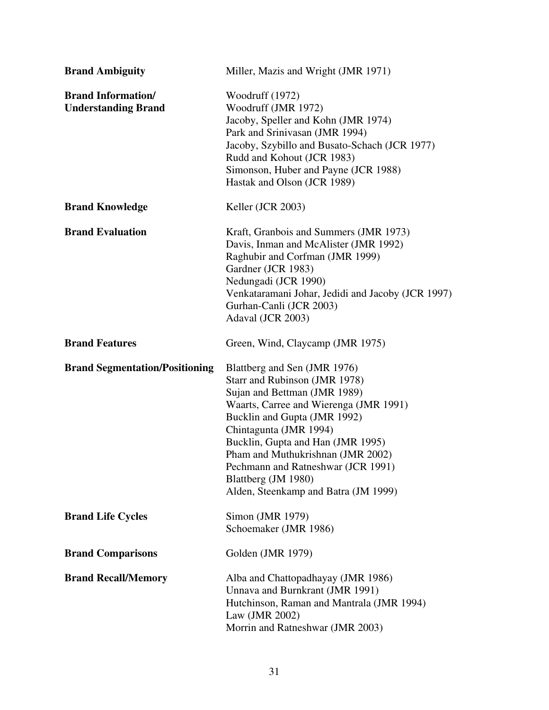| <b>Brand Ambiguity</b>                                  | Miller, Mazis and Wright (JMR 1971)                                                                                                                                                                                                                                                                                                                                              |  |  |  |
|---------------------------------------------------------|----------------------------------------------------------------------------------------------------------------------------------------------------------------------------------------------------------------------------------------------------------------------------------------------------------------------------------------------------------------------------------|--|--|--|
| <b>Brand Information/</b><br><b>Understanding Brand</b> | Woodruff (1972)<br>Woodruff (JMR 1972)<br>Jacoby, Speller and Kohn (JMR 1974)<br>Park and Srinivasan (JMR 1994)<br>Jacoby, Szybillo and Busato-Schach (JCR 1977)<br>Rudd and Kohout (JCR 1983)<br>Simonson, Huber and Payne (JCR 1988)<br>Hastak and Olson (JCR 1989)                                                                                                            |  |  |  |
| <b>Brand Knowledge</b>                                  | Keller (JCR 2003)                                                                                                                                                                                                                                                                                                                                                                |  |  |  |
| <b>Brand Evaluation</b>                                 | Kraft, Granbois and Summers (JMR 1973)<br>Davis, Inman and McAlister (JMR 1992)<br>Raghubir and Corfman (JMR 1999)<br>Gardner (JCR 1983)<br>Nedungadi (JCR 1990)<br>Venkataramani Johar, Jedidi and Jacoby (JCR 1997)<br>Gurhan-Canli (JCR 2003)<br>Adaval (JCR 2003)                                                                                                            |  |  |  |
| <b>Brand Features</b>                                   | Green, Wind, Claycamp (JMR 1975)                                                                                                                                                                                                                                                                                                                                                 |  |  |  |
| <b>Brand Segmentation/Positioning</b>                   | Blattberg and Sen (JMR 1976)<br>Starr and Rubinson (JMR 1978)<br>Sujan and Bettman (JMR 1989)<br>Waarts, Carree and Wierenga (JMR 1991)<br>Bucklin and Gupta (JMR 1992)<br>Chintagunta (JMR 1994)<br>Bucklin, Gupta and Han (JMR 1995)<br>Pham and Muthukrishnan (JMR 2002)<br>Pechmann and Ratneshwar (JCR 1991)<br>Blattberg (JM 1980)<br>Alden, Steenkamp and Batra (JM 1999) |  |  |  |
| <b>Brand Life Cycles</b>                                | Simon (JMR 1979)<br>Schoemaker (JMR 1986)                                                                                                                                                                                                                                                                                                                                        |  |  |  |
| <b>Brand Comparisons</b>                                | Golden (JMR 1979)                                                                                                                                                                                                                                                                                                                                                                |  |  |  |
| <b>Brand Recall/Memory</b>                              | Alba and Chattopadhayay (JMR 1986)<br>Unnava and Burnkrant (JMR 1991)<br>Hutchinson, Raman and Mantrala (JMR 1994)<br>Law (JMR 2002)<br>Morrin and Ratneshwar (JMR 2003)                                                                                                                                                                                                         |  |  |  |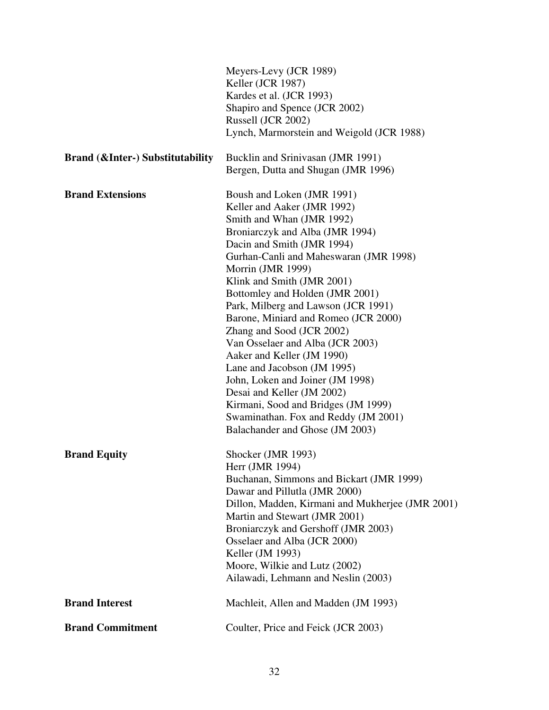|                                             | Shapiro and Spence (JCR 2002)<br>Russell (JCR 2002) |
|---------------------------------------------|-----------------------------------------------------|
|                                             | Lynch, Marmorstein and Weigold (JCR 1988)           |
| <b>Brand (&amp;Inter-) Substitutability</b> | Bucklin and Srinivasan (JMR 1991)                   |
|                                             | Bergen, Dutta and Shugan (JMR 1996)                 |
| <b>Brand Extensions</b>                     | Boush and Loken (JMR 1991)                          |
|                                             | Keller and Aaker (JMR 1992)                         |
|                                             | Smith and Whan (JMR 1992)                           |
|                                             | Broniarczyk and Alba (JMR 1994)                     |
|                                             | Dacin and Smith (JMR 1994)                          |
|                                             | Gurhan-Canli and Maheswaran (JMR 1998)              |
|                                             | Morrin (JMR 1999)<br>Klink and Smith (JMR 2001)     |
|                                             | Bottomley and Holden (JMR 2001)                     |
|                                             | Park, Milberg and Lawson (JCR 1991)                 |
|                                             | Barone, Miniard and Romeo (JCR 2000)                |
|                                             | Zhang and Sood (JCR 2002)                           |
|                                             | Van Osselaer and Alba (JCR 2003)                    |
|                                             | Aaker and Keller (JM 1990)                          |
|                                             | Lane and Jacobson (JM 1995)                         |
|                                             | John, Loken and Joiner (JM 1998)                    |
|                                             | Desai and Keller (JM 2002)                          |
|                                             | Kirmani, Sood and Bridges (JM 1999)                 |
|                                             | Swaminathan. Fox and Reddy (JM 2001)                |
|                                             | Balachander and Ghose (JM 2003)                     |
| <b>Brand Equity</b>                         | Shocker (JMR 1993)                                  |
|                                             | Herr (JMR 1994)                                     |
|                                             | Buchanan, Simmons and Bickart (JMR 1999)            |
|                                             | Dawar and Pillutla (JMR 2000)                       |
|                                             | Dillon, Madden, Kirmani and Mukherjee (JMR 2001)    |
|                                             | Martin and Stewart (JMR 2001)                       |
|                                             | Broniarczyk and Gershoff (JMR 2003)                 |
|                                             | Osselaer and Alba (JCR 2000)                        |
|                                             | Keller (JM 1993)                                    |
|                                             | Moore, Wilkie and Lutz (2002)                       |
|                                             | Ailawadi, Lehmann and Neslin (2003)                 |
| <b>Brand Interest</b>                       | Machleit, Allen and Madden (JM 1993)                |
| <b>Brand Commitment</b>                     | Coulter, Price and Feick (JCR 2003)                 |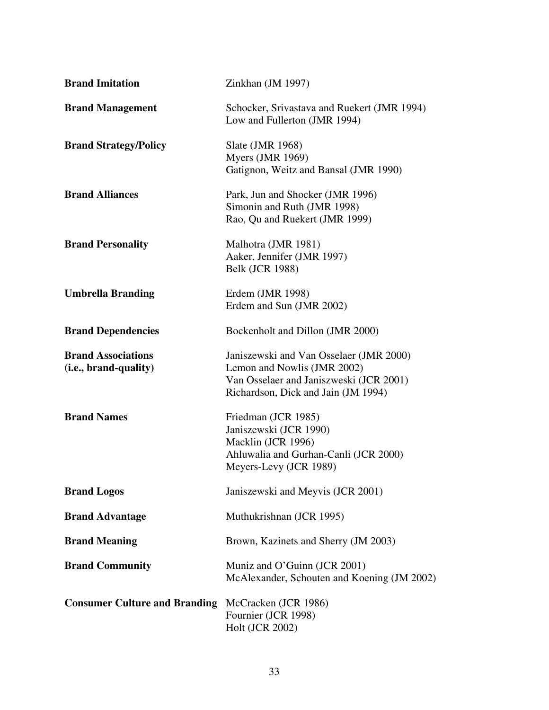| <b>Brand Imitation</b>                             | Zinkhan (JM 1997)                                                                                                                                        |  |  |  |
|----------------------------------------------------|----------------------------------------------------------------------------------------------------------------------------------------------------------|--|--|--|
| <b>Brand Management</b>                            | Schocker, Srivastava and Ruekert (JMR 1994)<br>Low and Fullerton (JMR 1994)                                                                              |  |  |  |
| <b>Brand Strategy/Policy</b>                       | Slate (JMR 1968)<br><b>Myers (JMR 1969)</b><br>Gatignon, Weitz and Bansal (JMR 1990)                                                                     |  |  |  |
| <b>Brand Alliances</b>                             | Park, Jun and Shocker (JMR 1996)<br>Simonin and Ruth (JMR 1998)<br>Rao, Qu and Ruekert (JMR 1999)                                                        |  |  |  |
| <b>Brand Personality</b>                           | Malhotra (JMR 1981)<br>Aaker, Jennifer (JMR 1997)<br><b>Belk (JCR 1988)</b>                                                                              |  |  |  |
| <b>Umbrella Branding</b>                           | Erdem (JMR 1998)<br>Erdem and Sun (JMR 2002)                                                                                                             |  |  |  |
| <b>Brand Dependencies</b>                          | Bockenholt and Dillon (JMR 2000)                                                                                                                         |  |  |  |
| <b>Brand Associations</b><br>(i.e., brand-quality) | Janiszewski and Van Osselaer (JMR 2000)<br>Lemon and Nowlis (JMR 2002)<br>Van Osselaer and Janiszweski (JCR 2001)<br>Richardson, Dick and Jain (JM 1994) |  |  |  |
| <b>Brand Names</b>                                 | Friedman (JCR 1985)<br>Janiszewski (JCR 1990)<br>Macklin (JCR 1996)<br>Ahluwalia and Gurhan-Canli (JCR 2000)<br>Meyers-Levy (JCR 1989)                   |  |  |  |
| <b>Brand Logos</b>                                 | Janiszewski and Meyvis (JCR 2001)                                                                                                                        |  |  |  |
| <b>Brand Advantage</b>                             | Muthukrishnan (JCR 1995)                                                                                                                                 |  |  |  |
| <b>Brand Meaning</b>                               | Brown, Kazinets and Sherry (JM 2003)                                                                                                                     |  |  |  |
| <b>Brand Community</b>                             | Muniz and O'Guinn (JCR 2001)<br>McAlexander, Schouten and Koening (JM 2002)                                                                              |  |  |  |
| <b>Consumer Culture and Branding</b>               | McCracken (JCR 1986)<br>Fournier (JCR 1998)<br><b>Holt (JCR 2002)</b>                                                                                    |  |  |  |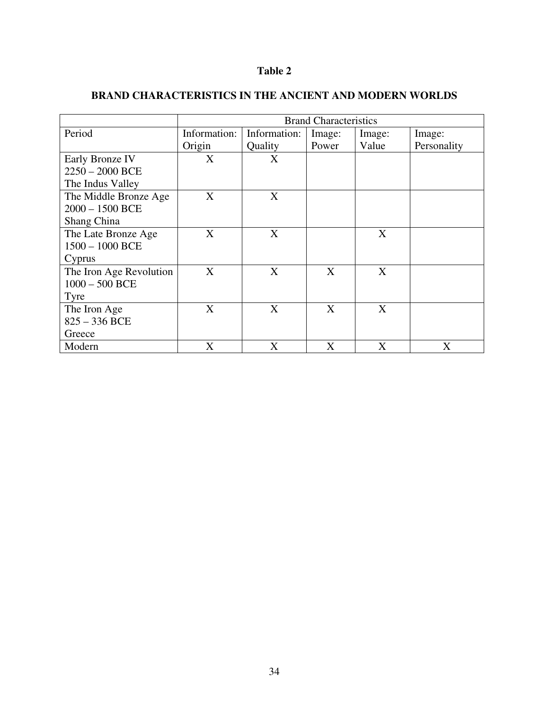## **Table 2**

## **BRAND CHARACTERISTICS IN THE ANCIENT AND MODERN WORLDS**

|                         | <b>Brand Characteristics</b> |              |        |        |             |  |
|-------------------------|------------------------------|--------------|--------|--------|-------------|--|
| Period                  | Information:                 | Information: | Image: | Image: | Image:      |  |
|                         | Origin                       | Quality      | Power  | Value  | Personality |  |
| Early Bronze IV         | X                            | X            |        |        |             |  |
| $2250 - 2000$ BCE       |                              |              |        |        |             |  |
| The Indus Valley        |                              |              |        |        |             |  |
| The Middle Bronze Age   | X                            | X            |        |        |             |  |
| $2000 - 1500$ BCE       |                              |              |        |        |             |  |
| Shang China             |                              |              |        |        |             |  |
| The Late Bronze Age     | X                            | X            |        | X      |             |  |
| 1500 - 1000 BCE         |                              |              |        |        |             |  |
| Cyprus                  |                              |              |        |        |             |  |
| The Iron Age Revolution | X                            | X            | X      | X      |             |  |
| $1000 - 500$ BCE        |                              |              |        |        |             |  |
| Tyre                    |                              |              |        |        |             |  |
| The Iron Age            | X                            | X            | X      | X      |             |  |
| $825 - 336$ BCE         |                              |              |        |        |             |  |
| Greece                  |                              |              |        |        |             |  |
| Modern                  | X                            | X            | X      | X      | X           |  |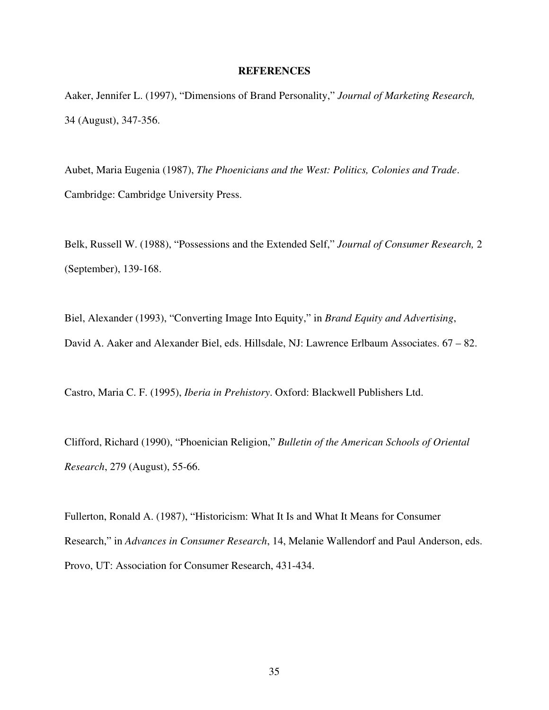#### **REFERENCES**

Aaker, Jennifer L. (1997), "Dimensions of Brand Personality," *Journal of Marketing Research,* 34 (August), 347-356.

Aubet, Maria Eugenia (1987), *The Phoenicians and the West: Politics, Colonies and Trade*. Cambridge: Cambridge University Press.

Belk, Russell W. (1988), "Possessions and the Extended Self," *Journal of Consumer Research,* 2 (September), 139-168.

Biel, Alexander (1993), "Converting Image Into Equity," in *Brand Equity and Advertising*, David A. Aaker and Alexander Biel, eds. Hillsdale, NJ: Lawrence Erlbaum Associates. 67 – 82.

Castro, Maria C. F. (1995), *Iberia in Prehistory*. Oxford: Blackwell Publishers Ltd.

Clifford, Richard (1990), "Phoenician Religion," *Bulletin of the American Schools of Oriental Research*, 279 (August), 55-66.

Fullerton, Ronald A. (1987), "Historicism: What It Is and What It Means for Consumer Research," in *Advances in Consumer Research*, 14, Melanie Wallendorf and Paul Anderson, eds. Provo, UT: Association for Consumer Research, 431-434.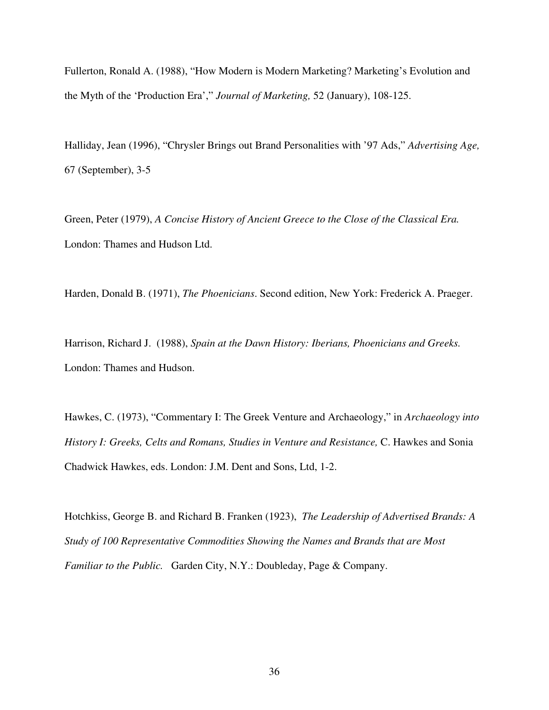Fullerton, Ronald A. (1988), "How Modern is Modern Marketing? Marketing's Evolution and the Myth of the 'Production Era'," *Journal of Marketing,* 52 (January), 108-125.

Halliday, Jean (1996), "Chrysler Brings out Brand Personalities with '97 Ads," *Advertising Age,* 67 (September), 3-5

Green, Peter (1979), *A Concise History of Ancient Greece to the Close of the Classical Era.* London: Thames and Hudson Ltd.

Harden, Donald B. (1971), *The Phoenicians*. Second edition, New York: Frederick A. Praeger.

Harrison, Richard J. (1988), *Spain at the Dawn History: Iberians, Phoenicians and Greeks.* London: Thames and Hudson.

Hawkes, C. (1973), "Commentary I: The Greek Venture and Archaeology," in *Archaeology into History I: Greeks, Celts and Romans, Studies in Venture and Resistance,* C. Hawkes and Sonia Chadwick Hawkes, eds. London: J.M. Dent and Sons, Ltd, 1-2.

Hotchkiss, George B. and Richard B. Franken (1923), *The Leadership of Advertised Brands: A Study of 100 Representative Commodities Showing the Names and Brands that are Most Familiar to the Public.* Garden City, N.Y.: Doubleday, Page & Company.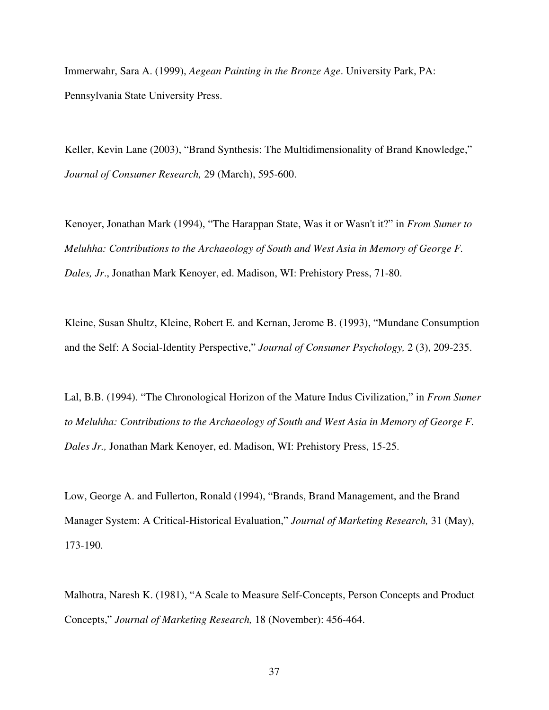Immerwahr, Sara A. (1999), *Aegean Painting in the Bronze Age*. University Park, PA: Pennsylvania State University Press.

Keller, Kevin Lane (2003), "Brand Synthesis: The Multidimensionality of Brand Knowledge," *Journal of Consumer Research,* 29 (March), 595-600.

Kenoyer, Jonathan Mark (1994), "The Harappan State, Was it or Wasn't it?" in *From Sumer to Meluhha: Contributions to the Archaeology of South and West Asia in Memory of George F. Dales, Jr*., Jonathan Mark Kenoyer, ed. Madison, WI: Prehistory Press, 71-80.

Kleine, Susan Shultz, Kleine, Robert E. and Kernan, Jerome B. (1993), "Mundane Consumption and the Self: A Social-Identity Perspective," *Journal of Consumer Psychology,* 2 (3), 209-235.

Lal, B.B. (1994). "The Chronological Horizon of the Mature Indus Civilization," in *From Sumer to Meluhha: Contributions to the Archaeology of South and West Asia in Memory of George F. Dales Jr.,* Jonathan Mark Kenoyer, ed. Madison, WI: Prehistory Press, 15-25.

Low, George A. and Fullerton, Ronald (1994), "Brands, Brand Management, and the Brand Manager System: A Critical-Historical Evaluation," *Journal of Marketing Research,* 31 (May), 173-190.

Malhotra, Naresh K. (1981), "A Scale to Measure Self-Concepts, Person Concepts and Product Concepts," *Journal of Marketing Research,* 18 (November): 456-464.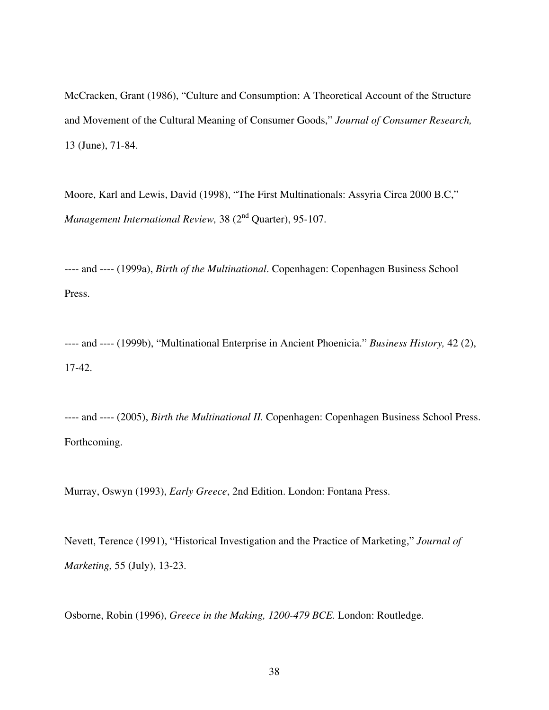McCracken, Grant (1986), "Culture and Consumption: A Theoretical Account of the Structure and Movement of the Cultural Meaning of Consumer Goods," *Journal of Consumer Research,* 13 (June), 71-84.

Moore, Karl and Lewis, David (1998), "The First Multinationals: Assyria Circa 2000 B.C," *Management International Review, 38* (2<sup>nd</sup> Quarter), 95-107.

---- and ---- (1999a), *Birth of the Multinational*. Copenhagen: Copenhagen Business School Press.

---- and ---- (1999b), "Multinational Enterprise in Ancient Phoenicia." *Business History,* 42 (2), 17-42.

---- and ---- (2005), *Birth the Multinational II.* Copenhagen: Copenhagen Business School Press. Forthcoming.

Murray, Oswyn (1993), *Early Greece*, 2nd Edition. London: Fontana Press.

Nevett, Terence (1991), "Historical Investigation and the Practice of Marketing," *Journal of Marketing,* 55 (July), 13-23.

Osborne, Robin (1996), *Greece in the Making, 1200-479 BCE.* London: Routledge.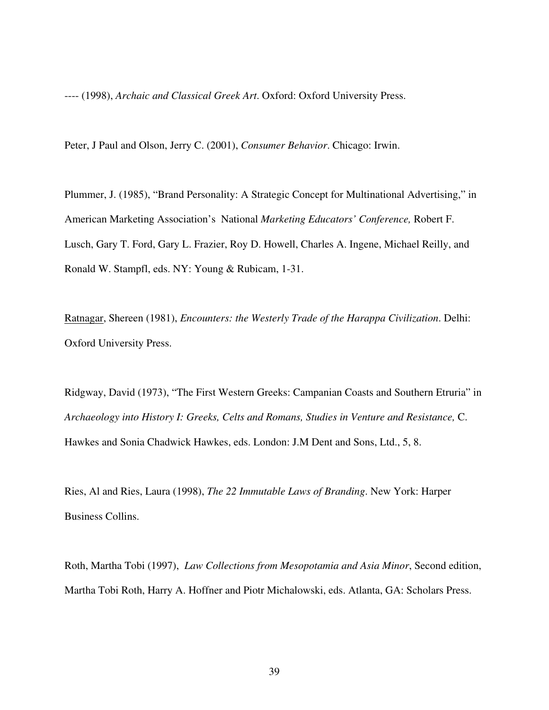---- (1998), *Archaic and Classical Greek Art*. Oxford: Oxford University Press.

Peter, J Paul and Olson, Jerry C. (2001), *Consumer Behavior*. Chicago: Irwin.

Plummer, J. (1985), "Brand Personality: A Strategic Concept for Multinational Advertising," in American Marketing Association's National *Marketing Educators' Conference,* Robert F. Lusch, Gary T. Ford, Gary L. Frazier, Roy D. Howell, Charles A. Ingene, Michael Reilly, and Ronald W. Stampfl, eds. NY: Young & Rubicam, 1-31.

Ratnagar, Shereen (1981), *Encounters: the Westerly Trade of the Harappa Civilization*. Delhi: Oxford University Press.

Ridgway, David (1973), "The First Western Greeks: Campanian Coasts and Southern Etruria" in *Archaeology into History I: Greeks, Celts and Romans, Studies in Venture and Resistance,* C. Hawkes and Sonia Chadwick Hawkes, eds. London: J.M Dent and Sons, Ltd., 5, 8.

Ries, Al and Ries, Laura (1998), *The 22 Immutable Laws of Branding*. New York: Harper Business Collins.

Roth, Martha Tobi (1997), *Law Collections from Mesopotamia and Asia Minor*, Second edition, Martha Tobi Roth, Harry A. Hoffner and Piotr Michalowski, eds. Atlanta, GA: Scholars Press.